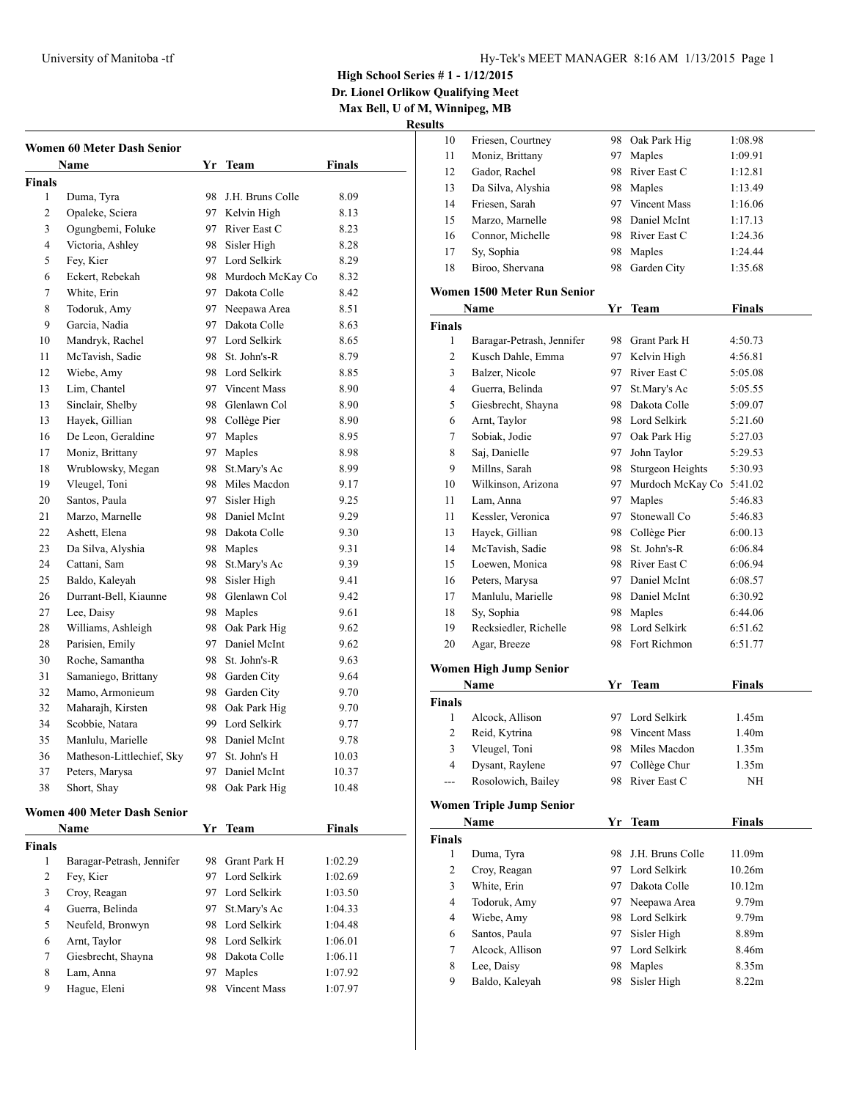**High School Series # 1 - 1/12/2015**

**Dr. Lionel Orlikow Qualifying Meet Max Bell, U of M, Winnipeg, MB**

**Results**

|                | Women 60 Meter Dash Senior<br>Name | Yr | <b>Team</b>         | <b>Finals</b> |
|----------------|------------------------------------|----|---------------------|---------------|
| Finals         |                                    |    |                     |               |
| 1              | Duma, Tyra                         | 98 | J.H. Bruns Colle    | 8.09          |
| 2              | Opaleke, Sciera                    | 97 | Kelvin High         | 8.13          |
| 3              | Ogungbemi, Foluke                  |    | 97 River East C     | 8.23          |
| $\overline{4}$ | Victoria, Ashley                   | 98 | Sisler High         | 8.28          |
| 5              | Fey, Kier                          |    | 97 Lord Selkirk     | 8.29          |
| 6              | Eckert, Rebekah                    |    | 98 Murdoch McKay Co | 8.32          |
| 7              | White, Erin                        |    | 97 Dakota Colle     | 8.42          |
| 8              | Todoruk, Amy                       |    | 97 Neepawa Area     | 8.51          |
| 9              | Garcia, Nadia                      |    | 97 Dakota Colle     | 8.63          |
| 10             | Mandryk, Rachel                    |    | 97 Lord Selkirk     | 8.65          |
| 11             | McTavish, Sadie                    |    | 98 St. John's-R     | 8.79          |
| 12             | Wiebe, Amy                         |    | 98 Lord Selkirk     | 8.85          |
| 13             | Lim, Chantel                       |    | 97 Vincent Mass     | 8.90          |
| 13             | Sinclair, Shelby                   | 98 | Glenlawn Col        | 8.90          |
| 13             | Hayek, Gillian                     |    | 98 Collège Pier     | 8.90          |
| 16             | De Leon, Geraldine                 | 97 | Maples              | 8.95          |
| 17             | Moniz, Brittany                    | 97 | Maples              | 8.98          |
| 18             | Wrublowsky, Megan                  | 98 | St.Mary's Ac        | 8.99          |
| 19             | Vleugel, Toni                      |    | 98 Miles Macdon     | 9.17          |
| 20             | Santos, Paula                      | 97 | Sisler High         | 9.25          |
| 21             | Marzo, Marnelle                    | 98 | Daniel McInt        | 9.29          |
| 22             | Ashett, Elena                      |    | 98 Dakota Colle     | 9.30          |
| 23             | Da Silva, Alyshia                  |    | 98 Maples           | 9.31          |
| 24             | Cattani, Sam                       | 98 | St.Mary's Ac        | 9.39          |
| 25             | Baldo, Kaleyah                     | 98 | Sisler High         | 9.41          |
| 26             | Durrant-Bell, Kiaunne              | 98 | Glenlawn Col        | 9.42          |
| 27             | Lee, Daisy                         |    | 98 Maples           | 9.61          |
| 28             | Williams, Ashleigh                 | 98 | Oak Park Hig        | 9.62          |
| 28             | Parisien, Emily                    |    | 97 Daniel McInt     | 9.62          |
| 30             | Roche, Samantha                    |    | 98 St. John's-R     | 9.63          |
| 31             | Samaniego, Brittany                |    | 98 Garden City      | 9.64          |
| 32             | Mamo, Armonieum                    |    | 98 Garden City      | 9.70          |
| 32             | Maharajh, Kirsten                  | 98 | Oak Park Hig        | 9.70          |
| 34             | Scobbie, Natara                    | 99 | Lord Selkirk        | 9.77          |
| 35             | Manlulu, Marielle                  | 98 | Daniel McInt        | 9.78          |
| 36             | Matheson-Littlechief, Sky          | 97 | St. John's H        | 10.03         |
| 37             | Peters, Marysa                     | 97 | Daniel McInt        | 10.37         |
| 38             | Short, Shav                        | 98 | Oak Park Hig        | 10.48         |
|                | <b>Women 400 Meter Dash Senior</b> |    |                     |               |
|                | Name                               | Yr | Team                | <b>Finals</b> |
| Finals         |                                    |    |                     |               |
| 1              | Baragar-Petrash, Jennifer          | 98 | Grant Park H        | 1:02.29       |
| $\overline{c}$ | Fey, Kier                          | 97 | Lord Selkirk        | 1:02.69       |
| 3              | Croy, Reagan                       | 97 | Lord Selkirk        | 1:03.50       |

 Guerra, Belinda 97 St.Mary's Ac 1:04.33 Neufeld, Bronwyn 98 Lord Selkirk 1:04.48 Arnt, Taylor 98 Lord Selkirk 1:06.01 Giesbrecht, Shayna 98 Dakota Colle 1:06.11 Lam, Anna 97 Maples 1:07.92 Hague, Eleni 98 Vincent Mass 1:07.97

| 10                      | Friesen, Courtney               | 98       | Oak Park Hig     | 1:08.98       |
|-------------------------|---------------------------------|----------|------------------|---------------|
| 11                      | Moniz, Brittany                 | 97       | Maples           | 1:09.91       |
| 12                      | Gador, Rachel                   | 98       | River East C     | 1:12.81       |
| 13                      | Da Silva, Alyshia               | 98       | Maples           | 1:13.49       |
| 14                      | Friesen, Sarah                  |          | 97 Vincent Mass  | 1:16.06       |
| 15                      | Marzo, Marnelle                 | 98       | Daniel McInt     | 1:17.13       |
| 16                      | Connor, Michelle                |          | 98 River East C  | 1:24.36       |
| 17                      | Sy, Sophia                      | 98       | Maples           | 1:24.44       |
| 18                      | Biroo, Shervana                 | 98       | Garden City      | 1:35.68       |
|                         | Women 1500 Meter Run Senior     |          |                  |               |
|                         | <b>Name</b>                     |          | Yr Team          | <b>Finals</b> |
| <b>Finals</b>           |                                 |          |                  |               |
| 1                       | Baragar-Petrash, Jennifer       | 98.      | Grant Park H     | 4:50.73       |
| 2                       | Kusch Dahle, Emma               | 97       | Kelvin High      | 4:56.81       |
| 3                       | Balzer, Nicole                  | 97       | River East C     | 5:05.08       |
| $\overline{4}$          | Guerra, Belinda                 | 97       | St.Mary's Ac     | 5:05.55       |
| 5                       | Giesbrecht, Shayna              |          | 98 Dakota Colle  | 5:09.07       |
| 6                       | Arnt, Taylor                    |          | 98 Lord Selkirk  | 5:21.60       |
| 7                       | Sobiak, Jodie                   |          | 97 Oak Park Hig  | 5:27.03       |
| 8                       | Saj, Danielle                   | 97       | John Taylor      | 5:29.53       |
| 9                       | Millns, Sarah                   | 98       | Sturgeon Heights | 5:30.93       |
|                         | Wilkinson, Arizona              |          | Murdoch McKay Co |               |
| 10<br>11                | Lam, Anna                       | 97<br>97 | Maples           | 5:41.02       |
|                         |                                 |          |                  | 5:46.83       |
| 11                      | Kessler, Veronica               | 97       | Stonewall Co     | 5:46.83       |
| 13                      | Havek, Gillian                  | 98       | Collège Pier     | 6:00.13       |
| 14                      | McTavish, Sadie                 | 98       | St. John's-R     | 6:06.84       |
| 15                      | Loewen, Monica                  | 98       | River East C     | 6:06.94       |
| 16                      | Peters, Marysa                  | 97       | Daniel McInt     | 6:08.57       |
| 17                      | Manlulu, Marielle               |          | 98 Daniel McInt  | 6:30.92       |
| 18                      | Sy, Sophia                      |          | 98 Maples        | 6:44.06       |
| 19                      | Recksiedler, Richelle           | 98       | Lord Selkirk     | 6:51.62       |
| 20                      | Agar, Breeze                    | 98       | Fort Richmon     | 6:51.77       |
|                         | <b>Women High Jump Senior</b>   |          |                  |               |
|                         | Name                            | Yr       | Team             | <b>Finals</b> |
| <b>Finals</b>           |                                 |          |                  |               |
| 1                       | Alcock, Allison                 | 97       | Lord Selkirk     | 1.45m         |
| 2                       | Reid, Kytrina                   |          | 98 Vincent Mass  | 1.40m         |
| 3                       | Vleugel, Toni                   |          | 98 Miles Macdon  | 1.35m         |
| 4                       | Dysant, Raylene                 | 97       | Collège Chur     | 1.35m         |
|                         | Rosolowich, Bailey              | 98       | River East C     | NH            |
|                         | <b>Women Triple Jump Senior</b> |          |                  |               |
|                         | Name                            | Yr       | <b>Team</b>      | <b>Finals</b> |
| <b>Finals</b>           |                                 |          |                  |               |
| 1                       | Duma, Tyra                      | 98       | J.H. Bruns Colle | 11.09m        |
| 2                       | Croy, Reagan                    | 97       | Lord Selkirk     | 10.26m        |
| 3                       | White, Erin                     | 97       | Dakota Colle     | 10.12m        |
| $\overline{\mathbf{4}}$ | Todoruk, Amy                    | 97       | Neepawa Area     | 9.79m         |
| 4                       | Wiebe, Amy                      |          | 98 Lord Selkirk  | 9.79m         |
| 6                       | Santos, Paula                   | 97       | Sisler High      | 8.89m         |
| 7                       | Alcock, Allison                 | 97       | Lord Selkirk     | 8.46m         |
| 8                       | Lee, Daisy                      | 98       | Maples           | 8.35m         |
| 9                       | Baldo, Kaleyah                  | 98       | Sisler High      | 8.22m         |
|                         |                                 |          |                  |               |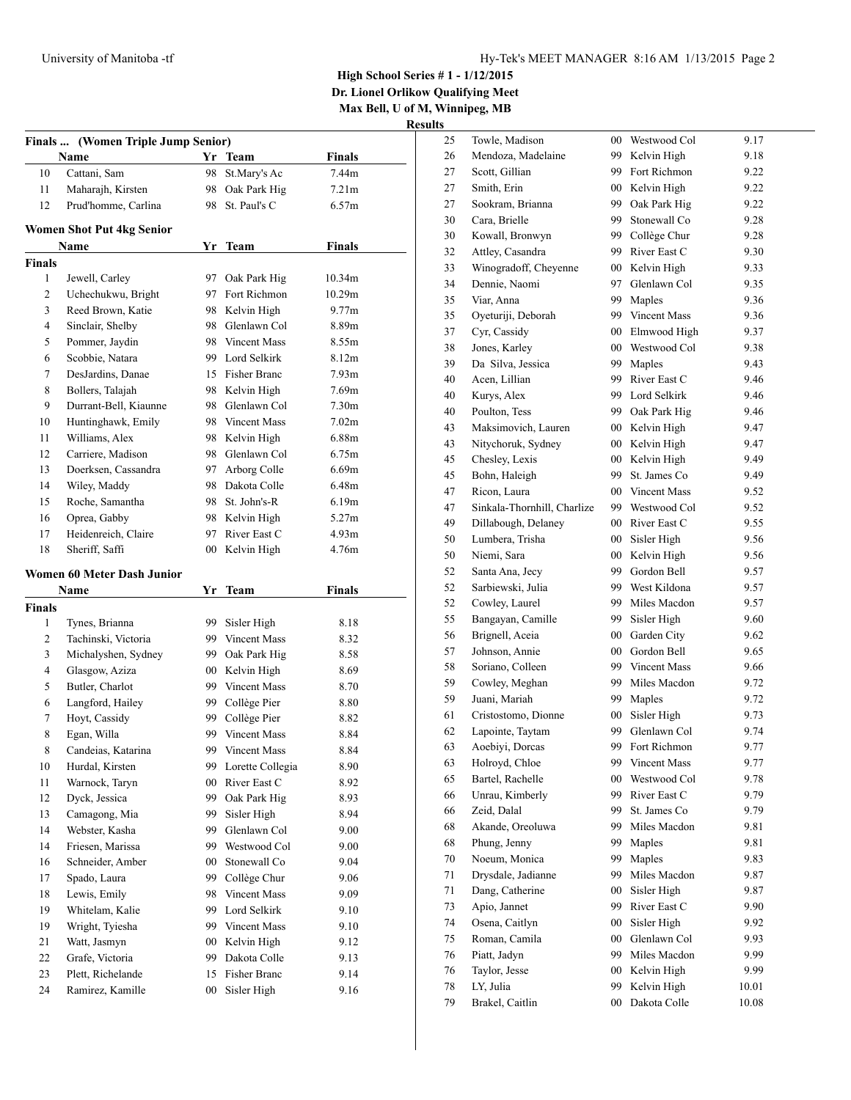**High School Series # 1 - 1/12/2015**

**Dr. Lionel Orlikow Qualifying Meet**

**Max Bell, U of M, Winnipeg, MB**

|                    | Finals  (Women Triple Jump Senior)       |              |                                |                   |
|--------------------|------------------------------------------|--------------|--------------------------------|-------------------|
|                    | Name                                     |              | Yr Team                        | Finals            |
| 10                 | Cattani, Sam                             | 98           | St.Mary's Ac                   | 7.44m             |
| 11                 | Maharajh, Kirsten                        | 98           | Oak Park Hig                   | 7.21m             |
| 12                 | Prud'homme, Carlina                      | 98           | St. Paul's C                   | 6.57m             |
|                    |                                          |              |                                |                   |
|                    | <b>Women Shot Put 4kg Senior</b><br>Name |              | Yr Team                        | <b>Finals</b>     |
| <b>Finals</b>      |                                          |              |                                |                   |
| 1                  | Jewell, Carley                           | 97           | Oak Park Hig                   | 10.34m            |
| 2                  | Uchechukwu, Bright                       | 97           | Fort Richmon                   | 10.29m            |
| 3                  | Reed Brown, Katie                        | 98           | Kelvin High                    | 9.77m             |
| 4                  | Sinclair, Shelby                         |              | 98 Glenlawn Col                | 8.89m             |
| 5                  | Pommer, Jaydin                           |              | 98 Vincent Mass                | 8.55m             |
| 6                  | Scobbie, Natara                          |              | 99 Lord Selkirk                | 8.12m             |
| 7                  | DesJardins, Danae                        |              | 15 Fisher Branc                | 7.93m             |
| 8                  | Bollers, Talajah                         |              | 98 Kelvin High                 | 7.69m             |
| 9                  | Durrant-Bell, Kiaunne                    |              | 98 Glenlawn Col                | 7.30 <sub>m</sub> |
| 10                 | Huntinghawk, Emily                       |              | 98 Vincent Mass                | 7.02m             |
| 11                 | Williams, Alex                           |              | 98 Kelvin High                 | 6.88m             |
| 12                 | Carriere, Madison                        |              | 98 Glenlawn Col                | 6.75m             |
| 13                 | Doerksen, Cassandra                      | 97           | Arborg Colle                   | 6.69m             |
| 14                 | Wiley, Maddy                             |              | 98 Dakota Colle                | 6.48m             |
| 15                 | Roche, Samantha                          | 98           | St. John's-R                   | 6.19m             |
| 16                 | Oprea, Gabby                             |              | 98 Kelvin High                 | 5.27m             |
| 17                 | Heidenreich, Claire                      | 97           | River East C                   | 4.93m             |
|                    | Sheriff, Saffi                           |              |                                | 4.76m             |
| 18                 |                                          | 00           | Kelvin High                    |                   |
|                    | <b>Women 60 Meter Dash Junior</b>        |              |                                |                   |
|                    | Name                                     | Yr           | <b>Team</b>                    | <b>Finals</b>     |
| <b>Finals</b><br>1 |                                          |              |                                |                   |
| 2                  | Tynes, Brianna<br>Tachinski, Victoria    | 99.          | Sisler High<br>99 Vincent Mass | 8.18              |
| 3                  |                                          | 99           |                                | 8.32              |
|                    | Michalyshen, Sydney                      |              | Oak Park Hig                   | 8.58              |
| 4<br>5             | Glasgow, Aziza                           | $00\,$<br>99 | Kelvin High<br>Vincent Mass    | 8.69              |
|                    | Butler, Charlot                          |              |                                | 8.70              |
| 6                  | Langford, Hailey<br>Hovt, Cassidy        | 99 -<br>99   | Collège Pier                   | 8.80              |
| 7                  |                                          | 99           | Collège Pier                   | 8.82              |
| 8                  | Egan, Willa                              |              | Vincent Mass                   | 8.84              |
| 8                  | Candeias, Katarina                       | 99           | Vincent Mass                   | 8.84              |
| 10                 | Hurdal, Kirsten                          | 99           | Lorette Collegia               | 8.90              |
| $11\,$             | Warnock, Taryn                           | $00\,$       | River East C                   | 8.92              |
| 12                 | Dyck, Jessica                            | 99           | Oak Park Hig                   | 8.93              |
| 13                 | Camagong, Mia                            | 99           | Sisler High                    | 8.94              |
| 14                 | Webster, Kasha                           | 99           | Glenlawn Col                   | 9.00              |
| 14                 | Friesen, Marissa                         | 99           | Westwood Col                   | 9.00              |
| 16                 | Schneider, Amber                         | 00           | Stonewall Co                   | 9.04              |
| 17                 | Spado, Laura                             | 99           | Collège Chur                   | 9.06              |
| 18                 | Lewis, Emily                             | 98           | Vincent Mass                   | 9.09              |
| 19                 | Whitelam, Kalie                          | 99           | Lord Selkirk                   | 9.10              |
| 19                 | Wright, Tyiesha                          | 99           | Vincent Mass                   | 9.10              |
| 21                 | Watt, Jasmyn                             | $00\,$       | Kelvin High                    | 9.12              |
| 22                 | Grafe, Victoria                          | 99           | Dakota Colle                   | 9.13              |
| 23                 | Plett, Richelande                        | 15           | Fisher Branc                   | 9.14              |
| 24                 | Ramirez, Kamille                         | $00\,$       | Sisler High                    | 9.16              |

| 25 | Towle, Madison              | $00\,$          | Westwood Col        | 9.17  |
|----|-----------------------------|-----------------|---------------------|-------|
| 26 | Mendoza, Madelaine          | 99              | Kelvin High         | 9.18  |
| 27 | Scott. Gillian              | 99              | Fort Richmon        | 9.22  |
| 27 | Smith, Erin                 | 00              | Kelvin High         | 9.22  |
| 27 | Sookram, Brianna            | 99              | Oak Park Hig        | 9.22  |
| 30 | Cara, Brielle               | 99              | Stonewall Co        | 9.28  |
| 30 | Kowall, Bronwyn             | 99              | Collège Chur        | 9.28  |
| 32 | Attley, Casandra            | 99              | River East C        | 9.30  |
| 33 | Winogradoff, Cheyenne       | $00\,$          | Kelvin High         | 9.33  |
| 34 | Dennie, Naomi               | 97              | Glenlawn Col        | 9.35  |
| 35 | Viar, Anna                  | 99              | Maples              | 9.36  |
| 35 | Oyeturiji, Deborah          | 99              | Vincent Mass        | 9.36  |
| 37 | Cyr, Cassidy                | $00\,$          | Elmwood High        | 9.37  |
| 38 | Jones, Karley               | $00\,$          | Westwood Col        | 9.38  |
| 39 | Da Silva, Jessica           | 99              | Maples              | 9.43  |
| 40 | Acen, Lillian               | 99              | River East C        | 9.46  |
| 40 | Kurys, Alex                 | 99              | Lord Selkirk        | 9.46  |
| 40 | Poulton, Tess               | 99              | Oak Park Hig        | 9.46  |
| 43 | Maksimovich, Lauren         | $00\,$          | Kelvin High         | 9.47  |
| 43 | Nitychoruk, Sydney          | $00\,$          | Kelvin High         | 9.47  |
| 45 | Chesley, Lexis              | $00\,$          | Kelvin High         | 9.49  |
| 45 | Bohn, Haleigh               | 99              | St. James Co.       | 9.49  |
| 47 | Ricon, Laura                | $00\,$          | <b>Vincent Mass</b> | 9.52  |
| 47 | Sinkala-Thornhill, Charlize | 99              | Westwood Col        | 9.52  |
| 49 | Dillabough, Delaney         | $00\,$          | River East C        | 9.55  |
| 50 | Lumbera, Trisha             | $00\,$          | Sisler High         | 9.56  |
| 50 | Niemi, Sara                 | $00\,$          | Kelvin High         | 9.56  |
| 52 | Santa Ana, Jecy             | 99              | Gordon Bell         | 9.57  |
| 52 | Sarbiewski, Julia           | 99              | West Kildona        | 9.57  |
| 52 | Cowley, Laurel              | 99              | Miles Macdon        | 9.57  |
| 55 | Bangayan, Camille           | 99              | Sisler High         | 9.60  |
| 56 | Brignell, Aceia             | 00 <sup>°</sup> | Garden City         | 9.62  |
| 57 | Johnson, Annie              | 00 <sup>°</sup> | Gordon Bell         | 9.65  |
| 58 | Soriano, Colleen            | 99              | <b>Vincent Mass</b> | 9.66  |
| 59 | Cowley, Meghan              | 99              | Miles Macdon        | 9.72  |
| 59 | Juani, Mariah               | 99              | Maples              | 9.72  |
| 61 | Cristostomo, Dionne         | $00\,$          | Sisler High         | 9.73  |
| 62 | Lapointe, Taytam            | 99              | Glenlawn Col        | 9.74  |
| 63 | Aoebiyi, Dorcas             | 99              | Fort Richmon        | 9.77  |
| 63 | Holroyd, Chloe              | 99              | Vincent Mass        | 9.77  |
| 65 | Bartel, Rachelle            | $00\,$          | Westwood Col        | 9.78  |
| 66 | Unrau, Kimberly             | 99              | River East C        | 9.79  |
| 66 | Zeid, Dalal                 | 99              | St. James Co        | 9.79  |
| 68 | Akande, Oreoluwa            | 99              | Miles Macdon        | 9.81  |
| 68 | Phung, Jenny                | 99              | Maples              | 9.81  |
| 70 | Noeum, Monica               | 99              | Maples              | 9.83  |
| 71 | Drysdale, Jadianne          | 99              | Miles Macdon        | 9.87  |
| 71 | Dang, Catherine             | $00\,$          | Sisler High         | 9.87  |
| 73 | Apio, Jannet                | 99              | River East C        | 9.90  |
| 74 | Osena, Caitlyn              | $00\,$          | Sisler High         | 9.92  |
| 75 | Roman, Camila               | $00\,$          | Glenlawn Col        | 9.93  |
| 76 | Piatt, Jadyn                | 99              | Miles Macdon        | 9.99  |
| 76 | Taylor, Jesse               | 00              | Kelvin High         | 9.99  |
| 78 | LY, Julia                   | 99              | Kelvin High         | 10.01 |
| 79 | Brakel, Caitlin             | 00              | Dakota Colle        | 10.08 |
|    |                             |                 |                     |       |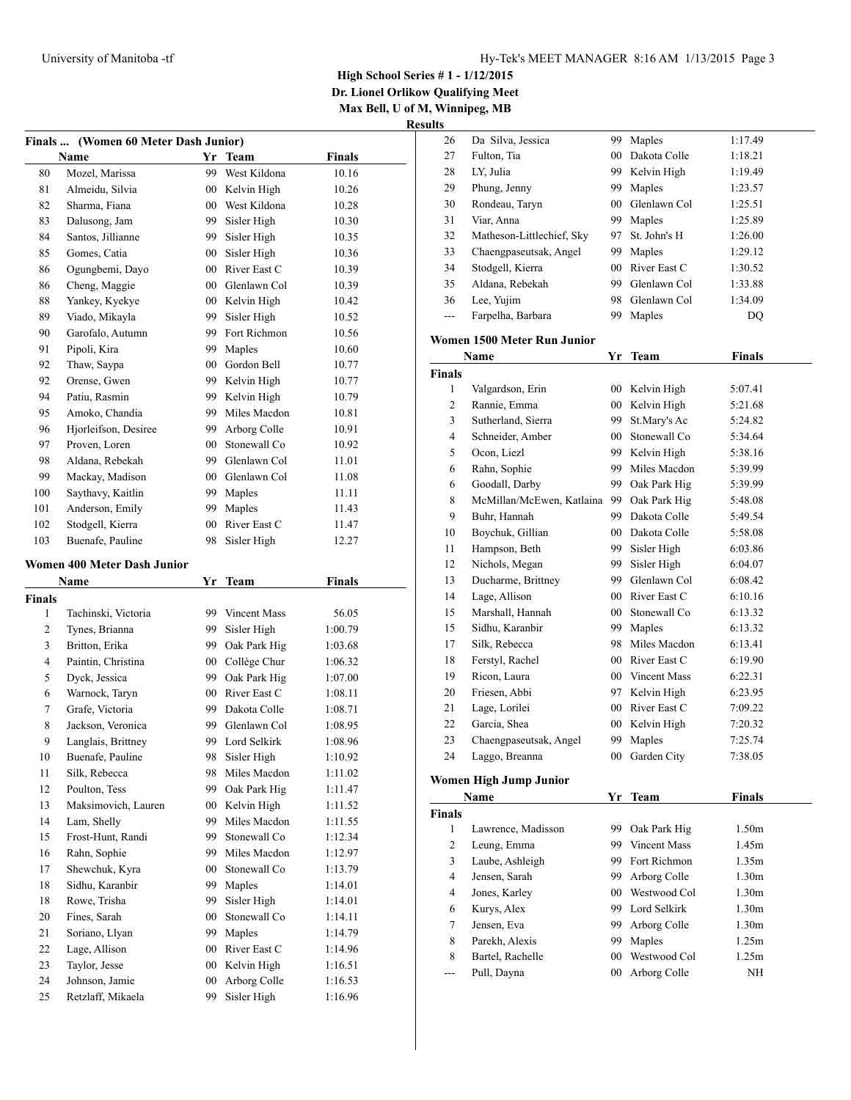**Dr. Lionel Orlikow Qualifying Meet Max Bell, U of M, Winnipeg, MB**

| Finals  (Women 60 Meter Dash Junior) |                                    |                 |                              |                    |  |
|--------------------------------------|------------------------------------|-----------------|------------------------------|--------------------|--|
|                                      | Name                               |                 | Yr Team                      | <b>Finals</b>      |  |
| 80                                   | Mozel, Marissa                     | 99              | West Kildona                 | 10.16              |  |
| 81                                   | Almeidu, Silvia                    |                 | 00 Kelvin High               | 10.26              |  |
| 82                                   | Sharma, Fiana                      | 00              | West Kildona                 | 10.28              |  |
| 83                                   | Dalusong, Jam                      | 99.             | Sisler High                  | 10.30              |  |
| 84                                   | Santos, Jillianne                  | 99 -            | Sisler High                  | 10.35              |  |
| 85                                   | Gomes, Catia                       | 00              | Sisler High                  | 10.36              |  |
| 86                                   | Ogungbemi, Dayo                    |                 | 00 River East C              | 10.39              |  |
| 86                                   | Cheng, Maggie                      |                 | 00 Glenlawn Col              | 10.39              |  |
| 88                                   | Yankey, Kyekye                     |                 | 00 Kelvin High               | 10.42              |  |
| 89                                   | Viado, Mikayla                     | 99.             | Sisler High                  | 10.52              |  |
| 90                                   | Garofalo, Autumn                   | 99              | Fort Richmon                 | 10.56              |  |
| 91                                   | Pipoli, Kira                       | 99              | Maples                       | 10.60              |  |
| 92                                   | Thaw, Saypa                        | $00\,$          | Gordon Bell                  | 10.77              |  |
| 92                                   | Orense, Gwen                       |                 | 99 Kelvin High               | 10.77              |  |
| 94                                   | Patiu, Rasmin                      | 99              | Kelvin High                  | 10.79              |  |
| 95                                   | Amoko, Chandia                     | 99              | Miles Macdon                 | 10.81              |  |
| 96                                   | Hjorleifson, Desiree               | 99              | Arborg Colle                 | 10.91              |  |
| 97                                   | Proven, Loren                      | 00 <sup>°</sup> | Stonewall Co                 | 10.92              |  |
| 98                                   | Aldana, Rebekah                    |                 | 99 Glenlawn Col              | 11.01              |  |
| 99                                   | Mackay, Madison                    |                 | 00 Glenlawn Col              | 11.08              |  |
| 100                                  | Saythavy, Kaitlin                  |                 | 99 Maples                    | 11.11              |  |
| 101                                  | Anderson, Emily                    |                 | 99 Maples                    | 11.43              |  |
| 102                                  | Stodgell, Kierra                   |                 | 00 River East C              | 11.47              |  |
| 103                                  | Buenafe, Pauline                   | 98              | Sisler High                  | 12.27              |  |
|                                      | <b>Women 400 Meter Dash Junior</b> |                 |                              |                    |  |
|                                      | Name                               | Yr              | <b>Team</b>                  | <b>Finals</b>      |  |
| <b>Finals</b>                        |                                    |                 |                              |                    |  |
|                                      |                                    |                 |                              |                    |  |
|                                      |                                    |                 |                              |                    |  |
| 1                                    | Tachinski, Victoria                |                 | 99 Vincent Mass              | 56.05              |  |
| 2                                    | Tynes, Brianna                     | 99              | Sisler High                  | 1:00.79            |  |
| 3                                    | Britton, Erika                     | 99.             | Oak Park Hig                 | 1:03.68            |  |
| 4                                    | Paintin, Christina                 |                 | 00 Collège Chur              | 1:06.32            |  |
| 5                                    | Dyck, Jessica                      |                 | 99 Oak Park Hig              | 1:07.00            |  |
| 6                                    | Warnock, Taryn                     |                 | 00 River East C              | 1:08.11            |  |
| 7                                    | Grafe, Victoria                    |                 | 99 Dakota Colle              | 1:08.71            |  |
| 8                                    | Jackson, Veronica                  |                 | 99 Glenlawn Col              | 1:08.95            |  |
| 9                                    | Langlais, Brittney                 |                 | 99 Lord Selkirk              | 1:08.96            |  |
| 10                                   | Buenafe, Pauline                   | 98              | Sisler High                  | 1:10.92            |  |
| 11                                   | Silk, Rebecca                      | 98              | Miles Macdon                 | 1:11.02            |  |
| 12                                   | Poulton, Tess                      | 99              | Oak Park Hig                 | 1:11.47            |  |
| 13                                   | Maksimovich, Lauren                | 00              | Kelvin High                  | 1:11.52            |  |
| 14                                   | Lam, Shelly                        | 99              | Miles Macdon                 | 1:11.55            |  |
| 15                                   | Frost-Hunt, Randi                  | 99              | Stonewall Co                 | 1:12.34            |  |
| 16                                   | Rahn, Sophie                       | 99              | Miles Macdon<br>Stonewall Co | 1:12.97            |  |
| 17                                   | Shewchuk, Kyra                     | 00              |                              | 1:13.79            |  |
| 18                                   | Sidhu, Karanbir                    | 99              | Maples                       | 1:14.01            |  |
| 18<br>20                             | Rowe, Trisha<br>Fines, Sarah       | 99<br>00        | Sisler High                  | 1:14.01<br>1:14.11 |  |
| 21                                   | Soriano, Llyan                     | 99              | Stonewall Co<br>Maples       | 1:14.79            |  |
| 22                                   | Lage, Allison                      | 00              | River East C                 | 1:14.96            |  |
| 23                                   | Taylor, Jesse                      | $00\,$          | Kelvin High                  | 1:16.51            |  |
| 24                                   | Johnson, Jamie                     | $00\,$          | Arborg Colle                 | 1:16.53            |  |
| 25                                   | Retzlaff, Mikaela                  | 99              | Sisler High                  | 1:16.96            |  |

| 26             | Da Silva, Jessica           | 99     | Maples              | 1:17.49           |  |
|----------------|-----------------------------|--------|---------------------|-------------------|--|
| 27             | Fulton, Tia                 | $00\,$ | Dakota Colle        | 1:18.21           |  |
| 28             | LY, Julia                   |        | 99 Kelvin High      | 1:19.49           |  |
| 29             | Phung, Jenny                |        | 99 Maples           | 1:23.57           |  |
| 30             | Rondeau, Taryn              |        | 00 Glenlawn Col     | 1:25.51           |  |
| 31             | Viar, Anna                  |        | 99 Maples           | 1:25.89           |  |
| 32             | Matheson-Littlechief, Sky   | 97     | St. John's H        | 1:26.00           |  |
| 33             | Chaengpaseutsak, Angel      | 99     | Maples              | 1:29.12           |  |
| 34             | Stodgell, Kierra            | $00\,$ | River East C        | 1:30.52           |  |
| 35             | Aldana, Rebekah             | 99     | Glenlawn Col        | 1:33.88           |  |
| 36             | Lee, Yujim                  | 98     | Glenlawn Col        | 1:34.09           |  |
| $---$          | Farpelha, Barbara           | 99     | Maples              | DQ                |  |
|                | Women 1500 Meter Run Junior |        |                     |                   |  |
|                | Name                        |        | Yr Team             | <b>Finals</b>     |  |
| Finals         |                             |        |                     |                   |  |
| 1              | Valgardson, Erin            |        | 00 Kelvin High      | 5:07.41           |  |
| 2              | Rannie, Emma                |        | 00 Kelvin High      | 5:21.68           |  |
| 3              | Sutherland, Sierra          | 99     | St.Mary's Ac        | 5:24.82           |  |
| $\overline{4}$ | Schneider, Amber            |        | 00 Stonewall Co     | 5:34.64           |  |
| 5              | Ocon, Liezl                 |        | 99 Kelvin High      | 5:38.16           |  |
| 6              | Rahn, Sophie                | 99     | Miles Macdon        | 5:39.99           |  |
| 6              | Goodall, Darby              | 99     | Oak Park Hig        | 5:39.99           |  |
| 8              | McMillan/McEwen, Katlaina   | 99     | Oak Park Hig        | 5:48.08           |  |
| 9              | Buhr, Hannah                | 99.    | Dakota Colle        | 5:49.54           |  |
| 10             | Boychuk, Gillian            |        | 00 Dakota Colle     | 5:58.08           |  |
| 11             | Hampson, Beth               |        | 99 Sisler High      | 6:03.86           |  |
| 12             | Nichols, Megan              | 99 -   | Sisler High         | 6:04.07           |  |
| 13             | Ducharme, Brittney          |        | 99 Glenlawn Col     | 6:08.42           |  |
| 14             | Lage, Allison               |        | 00 River East C     | 6:10.16           |  |
| 15             | Marshall, Hannah            |        | 00 Stonewall Co     | 6:13.32           |  |
| 15             | Sidhu, Karanbir             |        | 99 Maples           | 6:13.32           |  |
| 17             | Silk, Rebecca               |        | 98 Miles Macdon     | 6:13.41           |  |
| 18             | Ferstyl, Rachel             |        | 00 River East C     | 6:19.90           |  |
| 19             | Ricon, Laura                |        | 00 Vincent Mass     | 6:22.31           |  |
| 20             | Friesen, Abbi               |        | 97 Kelvin High      | 6:23.95           |  |
| 21             | Lage, Lorilei               |        | 00 River East C     | 7:09.22           |  |
| 22             | Garcia, Shea                |        | 00 Kelvin High      | 7:20.32           |  |
| 23             | Chaengpaseutsak, Angel      |        | 99 Maples           | 7:25.74           |  |
| 24             | Laggo, Breanna              |        | 00 Garden City      | 7:38.05           |  |
|                | Women High Jump Junior      |        |                     |                   |  |
|                | Name                        | Yr     | <b>Team</b>         | <b>Finals</b>     |  |
| <b>Finals</b>  |                             |        |                     |                   |  |
| $\mathbf{1}$   | Lawrence, Madisson          | 99 -   | Oak Park Hig        | 1.50m             |  |
| 2              | Leung, Emma                 | 99     | <b>Vincent Mass</b> | 1.45m             |  |
| 3              | Laube, Ashleigh             | 99     | Fort Richmon        | 1.35m             |  |
| $\overline{4}$ | Jensen, Sarah               | 99     | Arborg Colle        | 1.30 <sub>m</sub> |  |
| 4              | Jones, Karley               | $00\,$ | Westwood Col        | 1.30 <sub>m</sub> |  |
| 6              | Kurys, Alex                 | 99     | Lord Selkirk        | 1.30 <sub>m</sub> |  |
| 7              | Jensen, Eva                 | 99     | Arborg Colle        | 1.30 <sub>m</sub> |  |
| 8              | Parekh, Alexis              | 99     | Maples              | 1.25m             |  |
| 8              | Bartel, Rachelle            | $00\,$ | Westwood Col        | 1.25m             |  |
| ---            | Pull, Dayna                 | 00     | Arborg Colle        | NH                |  |
|                |                             |        |                     |                   |  |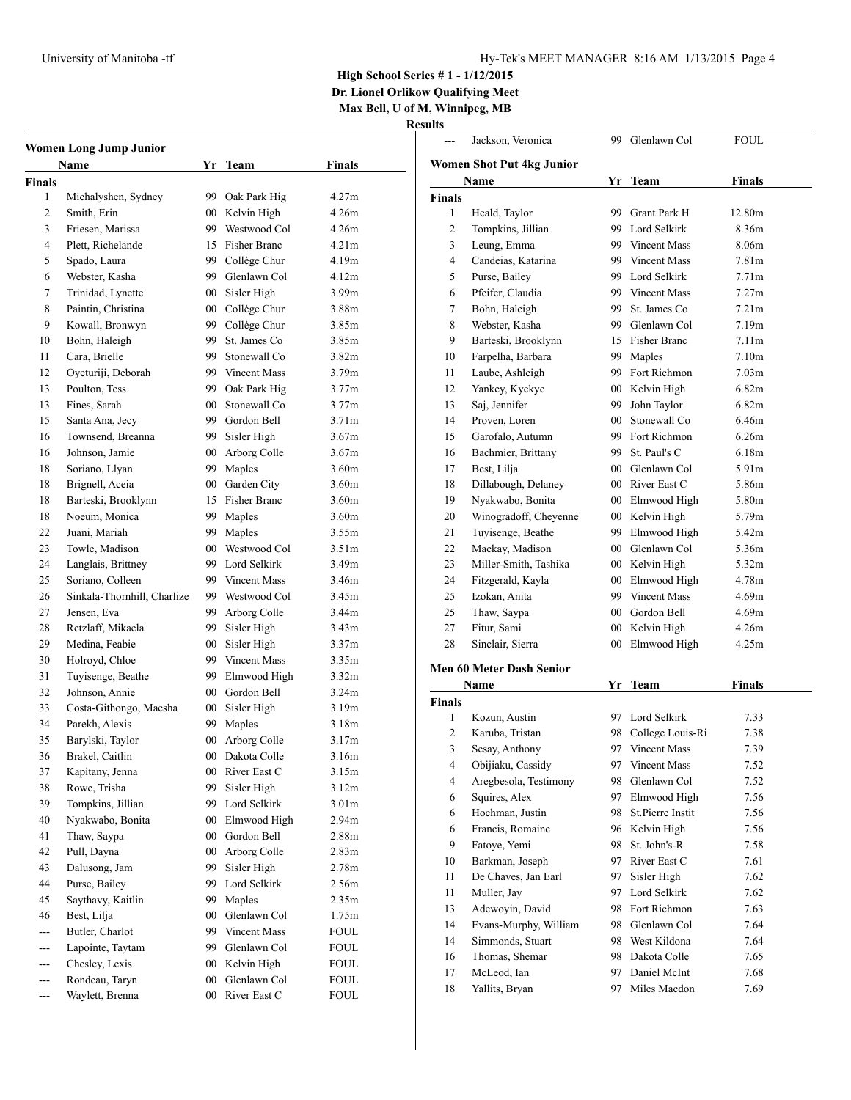--- Jackson, Veronica 99 Glenlawn Col FOUL

**High School Series # 1 - 1/12/2015**

**Dr. Lionel Orlikow Qualifying Meet Max Bell, U of M, Winnipeg, MB**

|                | <b>Women Long Jump Junior</b><br>Name |         | Yr Team             | <b>Finals</b>     |
|----------------|---------------------------------------|---------|---------------------|-------------------|
| <b>Finals</b>  |                                       |         |                     |                   |
| 1              | Michalyshen, Sydney                   | 99      | Oak Park Hig        | 4.27m             |
| 2              | Smith, Erin                           | $00\,$  | Kelvin High         | 4.26m             |
| 3              | Friesen, Marissa                      | 99      | Westwood Col        | 4.26m             |
| 4              | Plett, Richelande                     | 15      | <b>Fisher Branc</b> | 4.21 <sub>m</sub> |
| 5              | Spado, Laura                          |         | 99 Collège Chur     | 4.19m             |
| 6              | Webster, Kasha                        |         | 99 Glenlawn Col     | 4.12m             |
| 7              | Trinidad, Lynette                     |         | 00 Sisler High      | 3.99m             |
| 8              | Paintin, Christina                    |         | 00 Collège Chur     | 3.88m             |
| 9              | Kowall, Bronwyn                       | 99      | Collège Chur        | 3.85m             |
| 10             | Bohn, Haleigh                         | 99      | St. James Co        | 3.85m             |
| 11             | Cara, Brielle                         | 99      | Stonewall Co        | 3.82m             |
| 12             | Oyeturiji, Deborah                    |         | 99 Vincent Mass     | 3.79m             |
| 13             | Poulton, Tess                         | 99      | Oak Park Hig        | 3.77m             |
| 13             | Fines, Sarah                          | $00\,$  | Stonewall Co        | 3.77m             |
| 15             | Santa Ana, Jecy                       | 99.     | Gordon Bell         | 3.71 <sub>m</sub> |
| 16             | Townsend, Breanna                     | 99      | Sisler High         | 3.67m             |
| 16             | Johnson, Jamie                        |         | Arborg Colle        | 3.67m             |
|                |                                       | $00\,$  |                     |                   |
| 18             | Soriano, Llyan                        | 99      | Maples              | 3.60m             |
| 18             | Brignell, Aceia                       |         | 00 Garden City      | 3.60m             |
| 18             | Barteski, Brooklynn                   | 15      | Fisher Branc        | 3.60m             |
| 18             | Noeum, Monica                         |         | 99 Maples           | 3.60m             |
| 22             | Juani, Mariah                         | 99      | Maples              | 3.55m             |
| 23             | Towle, Madison                        | $00\,$  | Westwood Col        | 3.51 <sub>m</sub> |
| 24             | Langlais, Brittney                    | 99      | Lord Selkirk        | 3.49m             |
| 25             | Soriano, Colleen                      | 99      | <b>Vincent Mass</b> | 3.46m             |
| 26             | Sinkala-Thornhill, Charlize           |         | 99 Westwood Col     | 3.45m             |
| 27             | Jensen, Eva                           | 99      | Arborg Colle        | 3.44m             |
| 28             | Retzlaff, Mikaela                     | 99      | Sisler High         | 3.43m             |
| 29             | Medina, Feabie                        | 00      | Sisler High         | 3.37 <sub>m</sub> |
| 30             | Holroyd, Chloe                        | 99      | <b>Vincent Mass</b> | 3.35m             |
| 31             | Tuyisenge, Beathe                     | 99      | Elmwood High        | 3.32 <sub>m</sub> |
| 32             | Johnson, Annie                        |         | 00 Gordon Bell      | 3.24m             |
| 33             | Costa-Githongo, Maesha                | $00\,$  | Sisler High         | 3.19m             |
| 34             | Parekh, Alexis                        | 99      | Maples              | 3.18m             |
| 35             | Barylski, Taylor                      | 00      | Arborg Colle        | 3.17m             |
| 36             | Brakel, Caitlin                       | $_{00}$ | Dakota Colle        | 3.16m             |
| 37             | Kapitany, Jenna                       | 00      | River East C        | 3.15m             |
| 38             | Rowe, Trisha                          | 99      | Sisler High         | 3.12m             |
| 39             | Tompkins, Jillian                     | 99      | Lord Selkirk        | 3.01 <sub>m</sub> |
| 40             | Nyakwabo, Bonita                      | 00      | Elmwood High        | 2.94m             |
| 41             | Thaw, Saypa                           | 00      | Gordon Bell         | 2.88m             |
| 42             | Pull, Dayna                           | 00      | Arborg Colle        | 2.83m             |
| 43             | Dalusong, Jam                         | 99      | Sisler High         | 2.78m             |
| 44             | Purse, Bailey                         | 99      | Lord Selkirk        | 2.56m             |
| 45             | Saythavy, Kaitlin                     | 99      | Maples              | 2.35m             |
| 46             | Best, Lilja                           | 00      | Glenlawn Col        | 1.75m             |
| $\overline{a}$ | Butler, Charlot                       | 99      | Vincent Mass        | <b>FOUL</b>       |
| ---            | Lapointe, Taytam                      | 99      | Glenlawn Col        | FOUL              |
| ---            | Chesley, Lexis                        | 00      | Kelvin High         | <b>FOUL</b>       |
|                | Rondeau, Taryn                        | 00      | Glenlawn Col        | FOUL              |
|                |                                       |         |                     |                   |
| ---            | Waylett, Brenna                       | 00      | River East C        | FOUL              |

|               | Women Shot Put 4kg Junior              |                 |                              |                   |  |
|---------------|----------------------------------------|-----------------|------------------------------|-------------------|--|
|               | Name                                   | Yr              | <b>Team</b>                  | <b>Finals</b>     |  |
| <b>Finals</b> |                                        |                 |                              |                   |  |
| 1             | Heald, Taylor                          |                 | 99 Grant Park H              | 12.80m            |  |
| 2             | Tompkins, Jillian                      |                 | 99 Lord Selkirk              | 8.36m             |  |
| 3             | Leung, Emma                            |                 | 99 Vincent Mass              | 8.06m             |  |
| 4             | Candeias, Katarina                     |                 | 99 Vincent Mass              | 7.81m             |  |
| 5             | Purse, Bailey                          |                 | 99 Lord Selkirk              | 7.71 <sub>m</sub> |  |
| 6             | Pfeifer. Claudia                       |                 | 99 Vincent Mass              | 7.27m             |  |
| 7             | Bohn, Haleigh                          | 99              | St. James Co.                | 7.21m             |  |
| 8             | Webster, Kasha                         | 99.             | Glenlawn Col                 | 7.19m             |  |
| 9             | Barteski, Brooklynn                    |                 | 15 Fisher Branc              | 7.11 <sub>m</sub> |  |
| 10            | Farpelha, Barbara                      |                 | 99 Maples                    | 7.10 <sub>m</sub> |  |
| 11            | Laube, Ashleigh                        |                 | 99 Fort Richmon              | 7.03 <sub>m</sub> |  |
| 12            | Yankey, Kyekye                         |                 | 00 Kelvin High               | 6.82m             |  |
| 13            | Saj, Jennifer                          |                 | 99 John Taylor               | 6.82m             |  |
| 14            | Proven, Loren                          |                 | 00 Stonewall Co              | 6.46m             |  |
| 15            | Garofalo, Autumn                       |                 | 99 Fort Richmon              | 6.26m             |  |
| 16            | Bachmier, Brittany                     |                 | 99 St. Paul's C              | 6.18m             |  |
| 17            | Best, Lilja                            |                 | 00 Glenlawn Col              | 5.91m             |  |
| 18            | Dillabough, Delaney                    |                 | 00 River East C              | 5.86m             |  |
| 19            | Nyakwabo, Bonita                       |                 | 00 Elmwood High              | 5.80m             |  |
| 20            | Winogradoff, Cheyenne                  |                 | 00 Kelvin High               | 5.79m             |  |
| 21            | Tuyisenge, Beathe                      |                 | 99 Elmwood High              | 5.42m             |  |
| 22            | Mackay, Madison                        |                 | 00 Glenlawn Col              | 5.36m             |  |
| 23            | Miller-Smith, Tashika                  |                 | 00 Kelvin High               | 5.32m             |  |
| 24            | Fitzgerald, Kayla                      | 00 <sup>1</sup> | Elmwood High                 | 4.78m             |  |
| 25            | Izokan, Anita                          |                 | 99 Vincent Mass              | 4.69m             |  |
| 25            | Thaw, Saypa                            |                 | 00 Gordon Bell               | 4.69m             |  |
| 27            | Fitur, Sami                            | 00              | Kelvin High                  | 4.26m             |  |
| 28            | Sinclair, Sierra                       | 00 <sup>1</sup> | Elmwood High                 | 4.25m             |  |
|               | <b>Men 60 Meter Dash Senior</b>        |                 |                              |                   |  |
|               |                                        |                 |                              | <b>Finals</b>     |  |
| <b>Finals</b> | Name                                   | Yr              | Team                         |                   |  |
| 1             | Kozun, Austin                          | 97              | Lord Selkirk                 | 7.33              |  |
| 2             | Karuba, Tristan                        | 98              | College Louis-Ri             | 7.38              |  |
| 3             | Sesay, Anthony                         | 97.             | <b>Vincent Mass</b>          | 7.39              |  |
| 4             | Obijiaku, Cassidy                      |                 | 97 Vincent Mass              | 7.52              |  |
|               |                                        |                 |                              |                   |  |
| 4<br>6        | Aregbesola, Testimony<br>Squires, Alex | 98.<br>97       | Glenlawn Col<br>Elmwood High | 7.52<br>7.56      |  |
| 6             | Hochman, Justin                        | 98              | St.Pierre Instit             | 7.56              |  |
| 6             | Francis, Romaine                       | 96              | Kelvin High                  |                   |  |
| 9             | Fatoye, Yemi                           | 98              | St. John's-R                 | 7.56<br>7.58      |  |
| 10            | Barkman, Joseph                        | 97              | River East C                 | 7.61              |  |
|               |                                        |                 | Sisler High                  |                   |  |
| 11            | De Chaves, Jan Earl                    | 97              | Lord Selkirk                 | 7.62              |  |
| 11            | Muller, Jay                            | 97              | Fort Richmon                 | 7.62              |  |
| 13            | Adewoyin, David                        | 98.             |                              | 7.63              |  |
| 14            | Evans-Murphy, William                  | 98.             | Glenlawn Col<br>West Kildona | 7.64              |  |
| 14            | Simmonds, Stuart<br>Thomas, Shemar     | 98              |                              | 7.64              |  |
| 16            |                                        | 98              | Dakota Colle                 | 7.65              |  |
| 17<br>18      | McLeod, Ian<br>Yallits, Bryan          | 97<br>97        | Daniel McInt<br>Miles Macdon | 7.68<br>7.69      |  |
|               |                                        |                 |                              |                   |  |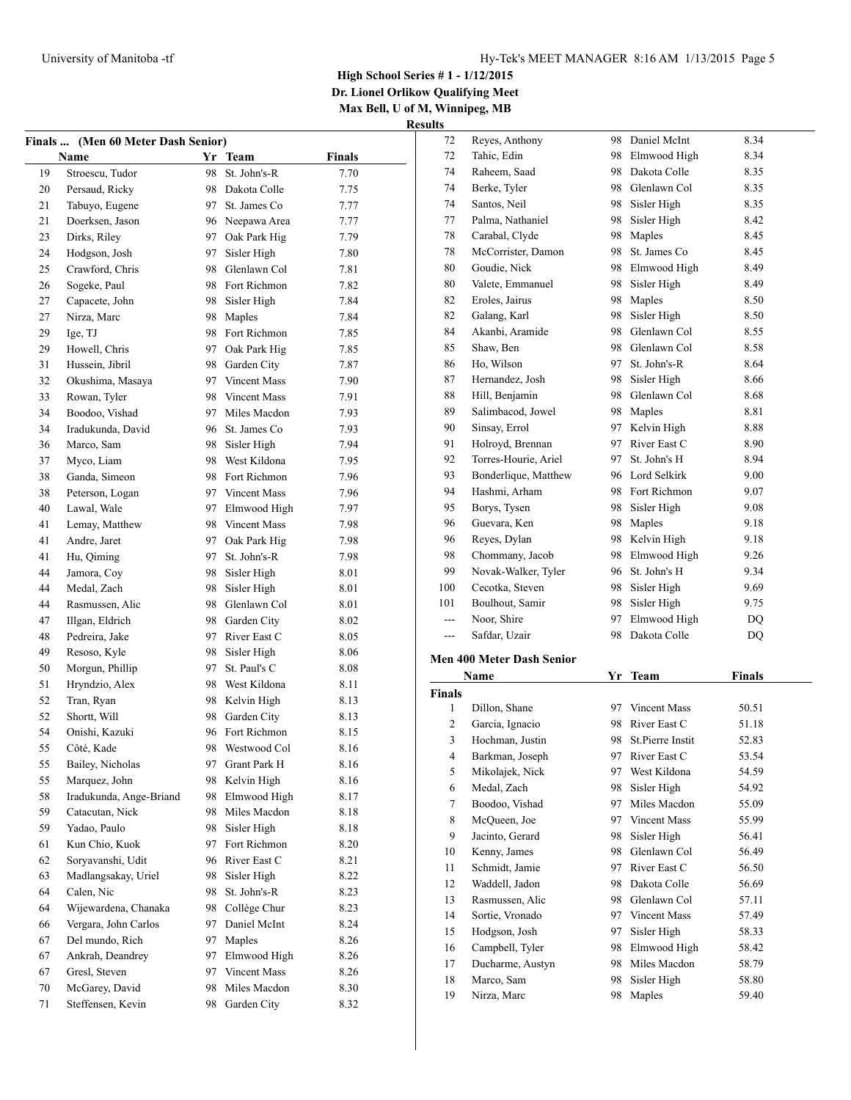**Dr. Lionel Orlikow Qualifying Meet Max Bell, U of M, Winnipeg, MB**

**Results**

| <b>Finals</b> | (Men 60 Meter Dash Senior) |    |                 |               |
|---------------|----------------------------|----|-----------------|---------------|
|               | Name                       |    | Yr Team         | <b>Finals</b> |
| 19            | Stroescu, Tudor            | 98 | St. John's-R    | 7.70          |
| 20            | Persaud, Ricky             | 98 | Dakota Colle    | 7.75          |
| 21            | Tabuyo, Eugene             | 97 | St. James Co.   | 7.77          |
| 21            | Doerksen, Jason            | 96 | Neepawa Area    | 7.77          |
| 23            | Dirks, Riley               | 97 | Oak Park Hig    | 7.79          |
| 24            | Hodgson, Josh              | 97 | Sisler High     | 7.80          |
| 25            | Crawford, Chris            | 98 | Glenlawn Col    | 7.81          |
| 26            | Sogeke, Paul               | 98 | Fort Richmon    | 7.82          |
| 27            | Capacete, John             | 98 | Sisler High     | 7.84          |
| 27            | Nirza, Marc                | 98 | Maples          | 7.84          |
| 29            | Ige, TJ                    | 98 | Fort Richmon    | 7.85          |
| 29            | Howell, Chris              | 97 | Oak Park Hig    | 7.85          |
| 31            | Hussein, Jibril            | 98 | Garden City     | 7.87          |
| 32            | Okushima, Masaya           | 97 | Vincent Mass    | 7.90          |
| 33            | Rowan, Tyler               | 98 | Vincent Mass    | 7.91          |
| 34            | Boodoo, Vishad             | 97 | Miles Macdon    | 7.93          |
| 34            | Iradukunda, David          | 96 | St. James Co    | 7.93          |
| 36            | Marco, Sam                 | 98 | Sisler High     | 7.94          |
| 37            | Myco, Liam                 | 98 | West Kildona    | 7.95          |
| 38            | Ganda, Simeon              | 98 | Fort Richmon    | 7.96          |
| 38            | Peterson, Logan            |    | 97 Vincent Mass | 7.96          |
| 40            | Lawal, Wale                | 97 | Elmwood High    | 7.97          |
| 41            | Lemay, Matthew             | 98 | Vincent Mass    | 7.98          |
| 41            | Andre, Jaret               | 97 | Oak Park Hig    | 7.98          |
| 41            | Hu, Qiming                 | 97 | St. John's-R    | 7.98          |
| 44            | Jamora, Coy                | 98 | Sisler High     | 8.01          |
| 44            | Medal, Zach                | 98 | Sisler High     | 8.01          |
| 44            | Rasmussen, Alic            | 98 | Glenlawn Col    | 8.01          |
| 47            | Illgan, Eldrich            | 98 | Garden City     | 8.02          |
| 48            | Pedreira, Jake             | 97 | River East C    | 8.05          |
| 49            | Resoso, Kyle               | 98 | Sisler High     | 8.06          |
| 50            | Morgun, Phillip            | 97 | St. Paul's C    | 8.08          |
| 51            | Hryndzio, Alex             | 98 | West Kildona    | 8.11          |
| 52            | Tran, Ryan                 | 98 | Kelvin High     | 8.13          |
| 52            | Shortt, Will               | 98 | Garden City     | 8.13          |
| 54            | Onishi, Kazuki             | 96 | Fort Richmon    | 8.15          |
| 55            | Côté, Kade                 |    | 98 Westwood Col | 8.16          |
| 55            | Bailey, Nicholas           | 97 | Grant Park H    | 8.16          |
| 55            | Marquez, John              | 98 | Kelvin High     | 8.16          |
| 58            | Iradukunda, Ange-Briand    | 98 | Elmwood High    | 8.17          |
| 59            | Catacutan, Nick            | 98 | Miles Macdon    | 8.18          |
| 59            | Yadao, Paulo               | 98 | Sisler High     | 8.18          |
| 61            | Kun Chio, Kuok             | 97 | Fort Richmon    | 8.20          |
| 62            | Soryavanshi, Udit          | 96 | River East C    | 8.21          |
| 63            | Madlangsakay, Uriel        | 98 | Sisler High     | 8.22          |
| 64            | Calen, Nic                 | 98 | St. John's-R    | 8.23          |
| 64            | Wijewardena, Chanaka       | 98 | Collège Chur    | 8.23          |
| 66            | Vergara, John Carlos       | 97 | Daniel McInt    | 8.24          |
| 67            | Del mundo, Rich            | 97 | Maples          | 8.26          |
| 67            | Ankrah, Deandrey           | 97 | Elmwood High    | 8.26          |
| 67            | Gresl, Steven              | 97 | Vincent Mass    | 8.26          |
| 70            | McGarey, David             | 98 | Miles Macdon    | 8.30          |
| 71            | Steffensen, Kevin          | 98 | Garden City     | 8.32          |
|               |                            |    |                 |               |

| 72            | Reyes, Anthony                   | 98 | Daniel McInt        | 8.34          |  |
|---------------|----------------------------------|----|---------------------|---------------|--|
| 72            | Tahic, Edin                      | 98 | Elmwood High        | 8.34          |  |
| 74            | Raheem, Saad                     | 98 | Dakota Colle        | 8.35          |  |
| 74            | Berke, Tyler                     | 98 | Glenlawn Col        | 8.35          |  |
| 74            | Santos, Neil                     | 98 | Sisler High         | 8.35          |  |
| 77            | Palma, Nathaniel                 | 98 | Sisler High         | 8.42          |  |
| 78            | Carabal, Clyde                   | 98 | Maples              | 8.45          |  |
| 78            | McCorrister, Damon               | 98 | St. James Co        | 8.45          |  |
| 80            | Goudie, Nick                     | 98 | Elmwood High        | 8.49          |  |
| 80            | Valete, Emmanuel                 | 98 | Sisler High         | 8.49          |  |
| 82            | Eroles, Jairus                   | 98 | Maples              | 8.50          |  |
| 82            | Galang, Karl                     | 98 | Sisler High         | 8.50          |  |
| 84            | Akanbi, Aramide                  | 98 | Glenlawn Col        | 8.55          |  |
| 85            | Shaw, Ben                        | 98 | Glenlawn Col        | 8.58          |  |
| 86            | Ho, Wilson                       | 97 | St. John's-R        | 8.64          |  |
| 87            | Hernandez, Josh                  | 98 | Sisler High         | 8.66          |  |
| 88            | Hill, Benjamin                   | 98 | Glenlawn Col        | 8.68          |  |
| 89            | Salimbacod, Jowel                | 98 | Maples              | 8.81          |  |
| 90            | Sinsay, Errol                    | 97 | Kelvin High         | 8.88          |  |
| 91            | Holroyd, Brennan                 | 97 | River East C        | 8.90          |  |
| 92            | Torres-Hourie, Ariel             | 97 | St. John's H        | 8.94          |  |
| 93            | Bonderlique, Matthew             | 96 | Lord Selkirk        | 9.00          |  |
| 94            | Hashmi, Arham                    | 98 | Fort Richmon        |               |  |
|               |                                  |    |                     | 9.07          |  |
| 95            | Borys, Tysen                     | 98 | Sisler High         | 9.08          |  |
| 96            | Guevara, Ken                     | 98 | Maples              | 9.18          |  |
| 96            | Reyes, Dylan                     | 98 | Kelvin High         | 9.18          |  |
| 98            | Chommany, Jacob                  | 98 | Elmwood High        | 9.26          |  |
| 99            | Novak-Walker, Tyler              | 96 | St. John's H        | 9.34          |  |
| 100           | Cecotka, Steven                  | 98 | Sisler High         | 9.69          |  |
| 101           | Boulhout, Samir                  | 98 | Sisler High         | 9.75          |  |
|               | Noor, Shire                      | 97 | Elmwood High        | DQ            |  |
| $---$         | Safdar, Uzair                    | 98 | Dakota Colle        | DQ            |  |
|               | <b>Men 400 Meter Dash Senior</b> |    |                     |               |  |
|               | Name                             |    | Yr Team             | <b>Finals</b> |  |
| <b>Finals</b> |                                  |    |                     |               |  |
| 1             | Dillon, Shane                    |    | 97 Vincent Mass     | 50.51         |  |
| 2             | Garcia, Ignacio                  | 98 | River East C        | 51.18         |  |
| 3             | Hochman, Justin                  | 98 | St.Pierre Instit    | 52.83         |  |
| 4             | Barkman, Joseph                  |    | 97 River East C     | 53.54         |  |
| 5             | Mikolajek, Nick                  | 97 | West Kildona        | 54.59         |  |
| 6             | Medal, Zach                      | 98 | Sisler High         | 54.92         |  |
| $\tau$        | Boodoo, Vishad                   | 97 | Miles Macdon        | 55.09         |  |
| 8             | McQueen, Joe                     | 97 | <b>Vincent Mass</b> | 55.99         |  |
| 9             |                                  |    | Sisler High         | 56.41         |  |
|               | Jacinto, Gerard                  | 98 |                     |               |  |
| 10            | Kenny, James                     | 98 | Glenlawn Col        | 56.49         |  |
| 11            | Schmidt, Jamie                   | 97 | River East C        | 56.50         |  |
| 12            | Waddell, Jadon                   | 98 | Dakota Colle        | 56.69         |  |

 Sortie, Vronado 97 Vincent Mass 57.49 Hodgson, Josh 97 Sisler High 58.33 Campbell, Tyler 98 Elmwood High 58.42 Ducharme, Austyn 98 Miles Macdon 58.79 18 Marco, Sam 98 Sisler High 58.80 Nirza, Marc 98 Maples 59.40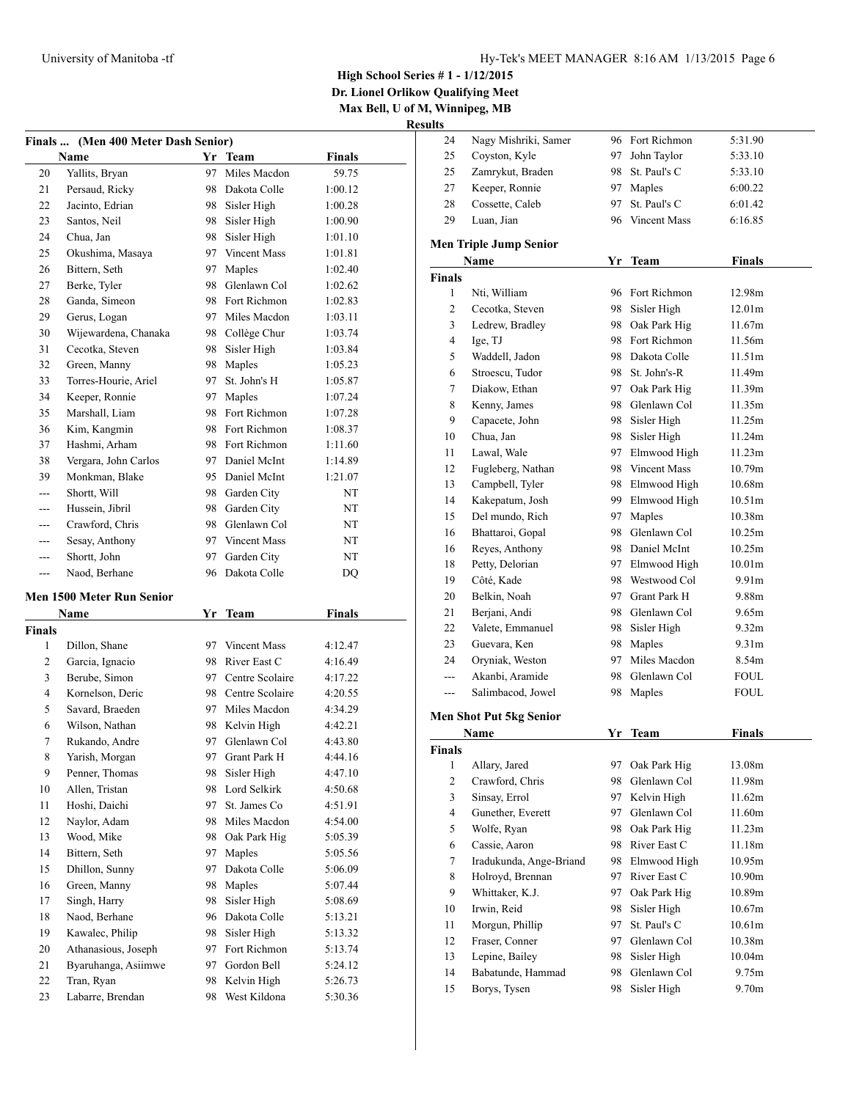**Dr. Lionel Orlikow Qualifying Meet Max Bell, U of M, Winnipeg, MB**

| (Men 400 Meter Dash Senior)<br><b>Finals</b> |                                  |            |                    |               |  |  |
|----------------------------------------------|----------------------------------|------------|--------------------|---------------|--|--|
|                                              | Name                             |            | Yr Team            | Finals        |  |  |
| 20                                           | Yallits, Bryan                   | 97         | Miles Macdon       | 59.75         |  |  |
| 21                                           | Persaud, Ricky                   |            | 98 Dakota Colle    | 1:00.12       |  |  |
| 22                                           | Jacinto, Edrian                  |            | 98 Sisler High     | 1:00.28       |  |  |
| 23                                           | Santos, Neil                     |            | 98 Sisler High     | 1:00.90       |  |  |
| 24                                           | Chua, Jan                        | 98         | Sisler High        | 1:01.10       |  |  |
| 25                                           | Okushima, Masaya                 |            | 97 Vincent Mass    | 1:01.81       |  |  |
| 26                                           | Bittern, Seth                    | 97         | Maples             | 1:02.40       |  |  |
| 27                                           | Berke, Tyler                     |            | 98 Glenlawn Col    | 1:02.62       |  |  |
| 28                                           | Ganda, Simeon                    |            | 98 Fort Richmon    | 1:02.83       |  |  |
| 29                                           | Gerus, Logan                     |            | 97 Miles Macdon    | 1:03.11       |  |  |
| 30                                           | Wijewardena, Chanaka             |            | 98 Collège Chur    | 1:03.74       |  |  |
| 31                                           | Cecotka, Steven                  | 98         | Sisler High        | 1:03.84       |  |  |
| 32                                           | Green, Manny                     | 98         | Maples             | 1:05.23       |  |  |
| 33                                           | Torres-Hourie, Ariel             | 97         | St. John's H       | 1:05.87       |  |  |
| 34                                           | Keeper, Ronnie                   |            | 97 Maples          | 1:07.24       |  |  |
| 35                                           | Marshall, Liam                   |            | 98 Fort Richmon    | 1:07.28       |  |  |
| 36                                           | Kim, Kangmin                     |            | 98 Fort Richmon    | 1:08.37       |  |  |
| 37                                           | Hashmi, Arham                    |            | 98 Fort Richmon    | 1:11.60       |  |  |
| 38                                           | Vergara, John Carlos             |            | 97 Daniel McInt    | 1:14.89       |  |  |
| 39                                           | Monkman, Blake                   |            | 95 Daniel McInt    | 1:21.07       |  |  |
| ---                                          | Shortt, Will                     |            | 98 Garden City     | NT            |  |  |
| ---                                          | Hussein, Jibril                  | 98         | Garden City        | NT            |  |  |
| ---                                          | Crawford, Chris                  | 98         | Glenlawn Col       | NT            |  |  |
| ---                                          | Sesay, Anthony                   |            | 97 Vincent Mass    | NT            |  |  |
| ---                                          | Shortt, John                     | 97         | Garden City        | NT            |  |  |
| $---$                                        |                                  | 96         |                    |               |  |  |
|                                              | Naod, Berhane                    |            | Dakota Colle       | DQ            |  |  |
|                                              | <b>Men 1500 Meter Run Senior</b> |            |                    |               |  |  |
|                                              | Name                             | <u>Yr_</u> | Team               | <b>Finals</b> |  |  |
| <b>Finals</b>                                |                                  |            |                    |               |  |  |
| 1                                            | Dillon, Shane                    |            | 97 Vincent Mass    | 4:12.47       |  |  |
| 2                                            | Garcia, Ignacio                  |            | 98 River East C    | 4:16.49       |  |  |
| 3                                            | Berube, Simon                    |            | 97 Centre Scolaire | 4:17.22       |  |  |
| 4                                            | Kornelson, Deric                 |            | 98 Centre Scolaire | 4:20.55       |  |  |
| 5                                            | Savard, Braeden                  |            | 97 Miles Macdon    | 4:34.29       |  |  |
| 6                                            | Wilson, Nathan                   | 98         | Kelvin High        | 4:42.21       |  |  |
| 7                                            | Rukando, Andre                   | 97         | Glenlawn Col       | 4:43.80       |  |  |
| 8                                            | Yarish, Morgan                   | 97         | Grant Park H       | 4:44.16       |  |  |
| 9                                            | Penner, Thomas                   | 98         | Sisler High        | 4:47.10       |  |  |
| 10                                           | Allen, Tristan                   | 98         | Lord Selkirk       | 4:50.68       |  |  |
| 11                                           | Hoshi, Daichi                    | 97         | St. James Co       | 4:51.91       |  |  |
| 12                                           | Naylor, Adam                     | 98         | Miles Macdon       | 4:54.00       |  |  |
| 13                                           | Wood, Mike                       | 98         | Oak Park Hig       | 5:05.39       |  |  |
| 14                                           | Bittern, Seth                    | 97         | Maples             | 5:05.56       |  |  |
| 15                                           | Dhillon, Sunny                   | 97         | Dakota Colle       | 5:06.09       |  |  |
| 16                                           | Green, Manny                     | 98         | Maples             | 5:07.44       |  |  |
| 17                                           | Singh, Harry                     | 98         | Sisler High        | 5:08.69       |  |  |
| 18                                           | Naod, Berhane                    | 96         | Dakota Colle       | 5:13.21       |  |  |
| 19                                           | Kawalec, Philip                  | 98         | Sisler High        | 5:13.32       |  |  |
| 20                                           | Athanasious, Joseph              | 97         | Fort Richmon       | 5:13.74       |  |  |
| 21                                           | Byaruhanga, Asiimwe              | 97         | Gordon Bell        | 5:24.12       |  |  |
| 22                                           | Tran, Ryan                       | 98         | Kelvin High        |               |  |  |
| 23                                           | Labarre, Brendan                 | 98         | West Kildona       | 5:26.73       |  |  |
|                                              |                                  |            |                    | 5:30.36       |  |  |

| 24                      | Nagy Mishriki, Samer             |     | 96 Fort Richmon                 | 5:31.90       |
|-------------------------|----------------------------------|-----|---------------------------------|---------------|
| 25                      | Coyston, Kyle                    | 97  | John Taylor                     | 5:33.10       |
| 25                      | Zamrykut, Braden                 | 98. | St. Paul's C                    | 5:33.10       |
| 27                      | Keeper, Ronnie                   | 97  | Maples                          | 6:00.22       |
| 28                      | Cossette, Caleb                  | 97  | St. Paul's C                    | 6:01.42       |
| 29                      | Luan, Jian                       |     | 96 Vincent Mass                 | 6:16.85       |
|                         | <b>Men Triple Jump Senior</b>    |     |                                 |               |
|                         | Name                             |     | Yr Team                         | <b>Finals</b> |
| <b>Finals</b>           |                                  |     |                                 |               |
| 1                       | Nti, William                     |     | 96 Fort Richmon                 | 12.98m        |
| 2                       | Cecotka, Steven                  |     | 98 Sisler High                  | 12.01m        |
| 3                       | Ledrew, Bradley                  |     | 98 Oak Park Hig                 | 11.67m        |
| $\overline{4}$          |                                  |     | 98 Fort Richmon                 | 11.56m        |
| 5                       | Ige, TJ                          |     | 98 Dakota Colle                 | 11.51m        |
|                         | Waddell, Jadon                   |     | 98 St. John's-R                 | 11.49m        |
| 6                       | Stroescu, Tudor<br>Diakow, Ethan |     |                                 | 11.39m        |
| 7                       |                                  | 97  | Oak Park Hig<br>98 Glenlawn Col | 11.35m        |
| 8                       | Kenny, James<br>Capacete, John   |     |                                 |               |
| 9                       |                                  | 98  | Sisler High                     | 11.25m        |
| 10                      | Chua, Jan                        | 98. | Sisler High                     | 11.24m        |
| 11                      | Lawal, Wale                      |     | 97 Elmwood High                 | 11.23m        |
| 12                      | Fugleberg, Nathan                |     | 98 Vincent Mass                 | 10.79m        |
| 13                      | Campbell, Tyler                  |     | 98 Elmwood High                 | 10.68m        |
| 14                      | Kakepatum, Josh                  |     | 99 Elmwood High                 | 10.51m        |
| 15                      | Del mundo, Rich                  |     | 97 Maples                       | 10.38m        |
| 16                      | Bhattaroi, Gopal                 |     | 98 Glenlawn Col                 | 10.25m        |
| 16                      | Reyes, Anthony                   |     | 98 Daniel McInt                 | 10.25m        |
| 18                      | Petty, Delorian                  |     | 97 Elmwood High                 | 10.01m        |
| 19                      | Côté, Kade                       |     | 98 Westwood Col                 | 9.91m         |
| 20                      | Belkin, Noah                     |     | 97 Grant Park H                 | 9.88m         |
| 21                      | Berjani, Andi                    | 98  | Glenlawn Col                    | 9.65m         |
| 22                      | Valete, Emmanuel                 | 98  | Sisler High                     | 9.32m         |
| 23                      | Guevara, Ken                     | 98  | Maples                          | 9.31m         |
| 24                      | Oryniak, Weston                  | 97  | Miles Macdon                    | 8.54m         |
| ---                     | Akanbi, Aramide                  | 98  | Glenlawn Col                    | <b>FOUL</b>   |
| ---                     | Salimbacod, Jowel                | 98  | Maples                          | <b>FOUL</b>   |
|                         | <b>Men Shot Put 5kg Senior</b>   |     |                                 |               |
|                         | Name                             |     | Yr Team                         | <b>Finals</b> |
| <b>Finals</b>           |                                  |     |                                 |               |
| 1                       | Allary, Jared                    | 97  | Oak Park Hig                    | 13.08m        |
| $\mathfrak{2}$          | Crawford, Chris                  | 98  | Glenlawn Col                    | 11.98m        |
| 3                       | Sinsay, Errol                    | 97  | Kelvin High                     | 11.62m        |
| $\overline{\mathbf{4}}$ | Gunether, Everett                | 97  | Glenlawn Col                    | 11.60m        |
| 5                       | Wolfe, Ryan                      | 98  | Oak Park Hig                    | 11.23m        |
| 6                       | Cassie, Aaron                    | 98  | River East C                    | 11.18m        |
| 7                       | Iradukunda, Ange-Briand          | 98  | Elmwood High                    | 10.95m        |
| 8                       | Holroyd, Brennan                 | 97  | River East C                    | 10.90m        |
| 9                       | Whittaker, K.J.                  | 97  | Oak Park Hig                    | 10.89m        |
| 10                      | Irwin, Reid                      | 98  | Sisler High                     | 10.67m        |
| 11                      | Morgun, Phillip                  | 97  | St. Paul's C                    | 10.61m        |
| 12                      | Fraser, Conner                   | 97  | Glenlawn Col                    | 10.38m        |
| 13                      | Lepine, Bailey                   | 98  | Sisler High                     | 10.04m        |
| 14                      | Babatunde, Hammad                | 98  | Glenlawn Col                    | 9.75m         |
| 15                      | Borys, Tysen                     | 98  | Sisler High                     | 9.70m         |
|                         |                                  |     |                                 |               |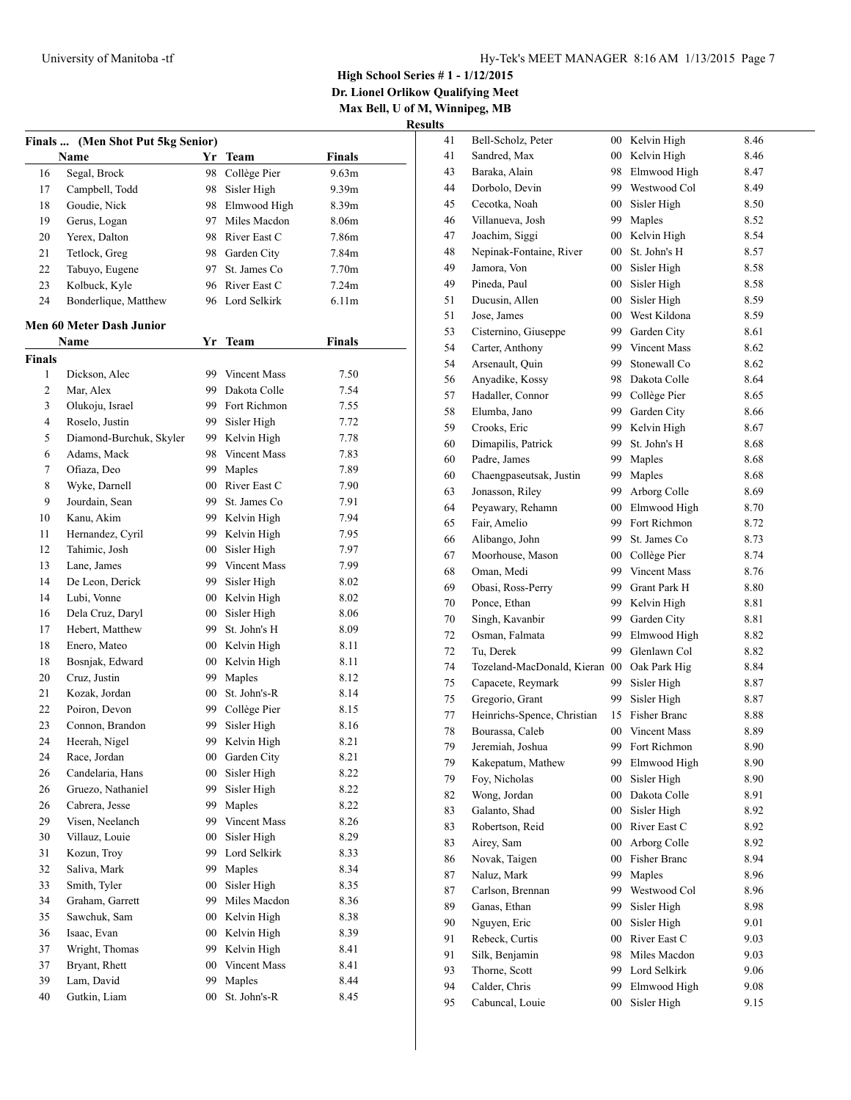**Dr. Lionel Orlikow Qualifying Meet Max Bell, U of M, Winnipeg, MB**

| Finals  (Men Shot Put 5kg Senior) |                                 |        |                 |                   |  |
|-----------------------------------|---------------------------------|--------|-----------------|-------------------|--|
|                                   | Name                            | Yr     | <b>Team</b>     | <b>Finals</b>     |  |
| 16                                | Segal, Brock                    | 98     | Collège Pier    | 9.63m             |  |
| 17                                | Campbell, Todd                  | 98     | Sisler High     | 9.39m             |  |
| 18                                | Goudie, Nick                    |        | 98 Elmwood High | 8.39m             |  |
| 19                                | Gerus, Logan                    |        | 97 Miles Macdon | 8.06m             |  |
| 20                                | Yerex, Dalton                   |        | 98 River East C | 7.86m             |  |
| 21                                | Tetlock, Greg                   |        | 98 Garden City  | 7.84m             |  |
| 22                                | Tabuyo, Eugene                  |        | 97 St. James Co | 7.70m             |  |
| 23                                | Kolbuck, Kyle                   |        | 96 River East C | 7.24m             |  |
| 24                                | Bonderlique, Matthew            |        | 96 Lord Selkirk | 6.11 <sub>m</sub> |  |
|                                   |                                 |        |                 |                   |  |
|                                   | <b>Men 60 Meter Dash Junior</b> |        |                 |                   |  |
|                                   | Name                            |        | Yr Team         | <b>Finals</b>     |  |
| <b>Finals</b>                     |                                 |        |                 |                   |  |
| 1                                 | Dickson, Alec                   |        | 99 Vincent Mass | 7.50              |  |
| 2                                 | Mar, Alex                       |        | 99 Dakota Colle | 7.54              |  |
| 3                                 | Olukoju, Israel                 |        | 99 Fort Richmon | 7.55              |  |
| 4                                 | Roselo, Justin                  |        | 99 Sisler High  | 7.72              |  |
| 5                                 | Diamond-Burchuk, Skyler         |        | 99 Kelvin High  | 7.78              |  |
| 6                                 | Adams, Mack                     |        | 98 Vincent Mass | 7.83              |  |
| 7                                 | Ofiaza, Deo                     |        | 99 Maples       | 7.89              |  |
| 8                                 | Wyke, Darnell                   |        | 00 River East C | 7.90              |  |
| 9                                 | Jourdain, Sean                  |        | 99 St. James Co | 7.91              |  |
| 10                                | Kanu, Akim                      |        | 99 Kelvin High  | 7.94              |  |
| 11                                | Hernandez, Cyril                | 99     | Kelvin High     | 7.95              |  |
| 12                                | Tahimic, Josh                   | $00\,$ | Sisler High     | 7.97              |  |
| 13                                | Lane, James                     |        | 99 Vincent Mass | 7.99              |  |
| 14                                | De Leon, Derick                 |        | 99 Sisler High  | 8.02              |  |
| 14                                | Lubi, Vonne                     |        | 00 Kelvin High  | 8.02              |  |
| 16                                | Dela Cruz, Daryl                | $00-$  | Sisler High     | 8.06              |  |
| 17                                | Hebert, Matthew                 |        | 99 St. John's H | 8.09              |  |
| 18                                | Enero, Mateo                    |        | 00 Kelvin High  | 8.11              |  |
| 18                                | Bosnjak, Edward                 |        | 00 Kelvin High  | 8.11              |  |
| 20                                | Cruz, Justin                    |        | 99 Maples       | 8.12              |  |
| 21                                | Kozak, Jordan                   |        | 00 St. John's-R | 8.14              |  |
| 22                                | Poiron, Devon                   |        | 99 Collège Pier | 8.15              |  |
| 23                                | Connon, Brandon                 | 99     | Sisler High     | 8.16              |  |
| 24                                | Heerah, Nigel                   | 99     | Kelvin High     | 8.21              |  |
| 24                                | Race, Jordan                    | 00     | Garden City     | 8.21              |  |
| 26                                | Candelaria, Hans                | 00     | Sisler High     | 8.22              |  |
| 26                                | Gruezo, Nathaniel               | 99     | Sisler High     | 8.22              |  |
| 26                                | Cabrera, Jesse                  | 99     | Maples          | 8.22              |  |
| 29                                | Visen, Neelanch                 | 99     | Vincent Mass    | 8.26              |  |
| 30                                | Villauz, Louie                  | 00     | Sisler High     | 8.29              |  |
| 31                                | Kozun, Troy                     | 99     | Lord Selkirk    | 8.33              |  |
| 32                                | Saliva, Mark                    | 99     | Maples          | 8.34              |  |
| 33                                | Smith, Tyler                    | $00\,$ | Sisler High     | 8.35              |  |
| 34                                | Graham, Garrett                 | 99     | Miles Macdon    | 8.36              |  |
| 35                                | Sawchuk, Sam                    | 00     | Kelvin High     | 8.38              |  |
| 36                                | Isaac, Evan                     | $00\,$ | Kelvin High     | 8.39              |  |
| 37                                | Wright, Thomas                  | 99     | Kelvin High     | 8.41              |  |
| 37                                | Bryant, Rhett                   | 00     | Vincent Mass    | 8.41              |  |
| 39                                | Lam, David                      | 99     | Maples          | 8.44              |  |
| 40                                | Gutkin, Liam                    | 00     | St. John's-R    | 8.45              |  |

| 41       | Bell-Scholz, Peter                             | 00     | Kelvin High                | 8.46 |
|----------|------------------------------------------------|--------|----------------------------|------|
| 41       | Sandred, Max                                   | $00\,$ | Kelvin High                | 8.46 |
| 43       | Baraka, Alain                                  | 98     | Elmwood High               | 8.47 |
| 44       | Dorbolo, Devin                                 | 99     | Westwood Col               | 8.49 |
| 45       | Cecotka, Noah                                  | 00     | Sisler High                | 8.50 |
| 46       | Villanueva, Josh                               | 99     | Maples                     | 8.52 |
| 47       | Joachim, Siggi                                 | 00     | Kelvin High                | 8.54 |
| 48       | Nepinak-Fontaine, River                        | 00     | St. John's H               | 8.57 |
| 49       | Jamora, Von                                    | $00\,$ | Sisler High                | 8.58 |
| 49       | Pineda, Paul                                   | $00\,$ | Sisler High                | 8.58 |
| 51       | Ducusin, Allen                                 | 00     | Sisler High                | 8.59 |
| 51       | Jose, James                                    | $00\,$ | West Kildona               | 8.59 |
| 53       | Cisternino, Giuseppe                           | 99     | Garden City                | 8.61 |
| 54       | Carter, Anthony                                | 99     | <b>Vincent Mass</b>        | 8.62 |
| 54       | Arsenault, Quin                                | 99     | Stonewall Co               | 8.62 |
| 56       | Anyadike, Kossy                                | 98     | Dakota Colle               | 8.64 |
| 57       | Hadaller, Connor                               | 99     | Collège Pier               | 8.65 |
| 58       | Elumba, Jano                                   | 99     | Garden City                | 8.66 |
| 59       | Crooks, Eric                                   | 99     | Kelvin High                | 8.67 |
| 60       | Dimapilis, Patrick                             | 99     | St. John's H               | 8.68 |
| 60       | Padre, James                                   | 99     | Maples                     | 8.68 |
| 60       | Chaengpaseutsak, Justin                        | 99     | Maples                     | 8.68 |
| 63       | Jonasson, Riley                                | 99     | Arborg Colle               | 8.69 |
| 64       | Peyawary, Rehamn                               | $00\,$ | Elmwood High               | 8.70 |
| 65       | Fair, Amelio                                   | 99     | Fort Richmon               | 8.72 |
| 66       | Alibango, John                                 | 99     | St. James Co               | 8.73 |
| 67       | Moorhouse, Mason                               | $00\,$ | Collège Pier               | 8.74 |
| 68       | Oman, Medi                                     | 99     | Vincent Mass               | 8.76 |
| 69       | Obasi, Ross-Perry                              | 99     | Grant Park H               | 8.80 |
| 70       | Ponce, Ethan                                   | 99     | Kelvin High                | 8.81 |
| 70       | Singh, Kavanbir                                | 99     | Garden City                | 8.81 |
| 72       | Osman, Falmata                                 | 99     | Elmwood High               | 8.82 |
| 72       | Tu, Derek                                      | 99     | Glenlawn Col               | 8.82 |
| 74       | Tozeland-MacDonald, Kieran                     | $00\,$ | Oak Park Hig               | 8.84 |
|          |                                                | 99     |                            |      |
| 75       | Capacete, Reymark                              |        | Sisler High<br>Sisler High | 8.87 |
| 75<br>77 | Gregorio, Grant<br>Heinrichs-Spence, Christian | 99     | Fisher Branc               | 8.87 |
|          |                                                | 15     |                            | 8.88 |
| 78       | Bourassa, Caleb                                | $00\,$ | Vincent Mass               | 8.89 |
| 79       | Jeremiah, Joshua                               | 99     | Fort Richmon               | 8.90 |
| 79       | Kakepatum, Mathew                              | 99     | Elmwood High               | 8.90 |
| 79       | Foy, Nicholas                                  | $00\,$ | Sisler High                | 8.90 |
| 82       | Wong, Jordan                                   | 00     | Dakota Colle               | 8.91 |
| 83       | Galanto, Shad                                  | 00     | Sisler High                | 8.92 |
| 83       | Robertson, Reid                                | 00     | River East C               | 8.92 |
| 83       | Airey, Sam                                     | 00     | Arborg Colle               | 8.92 |
| 86       | Novak, Taigen                                  | 00     | Fisher Branc               | 8.94 |
| 87       | Naluz, Mark                                    | 99     | Maples                     | 8.96 |
| 87       | Carlson, Brennan                               | 99     | Westwood Col               | 8.96 |
| 89       | Ganas, Ethan                                   | 99     | Sisler High                | 8.98 |
| 90       | Nguyen, Eric                                   | 00     | Sisler High                | 9.01 |
| 91       | Rebeck, Curtis                                 | 00     | River East C               | 9.03 |
| 91       | Silk, Benjamin                                 | 98     | Miles Macdon               | 9.03 |
| 93       | Thorne, Scott                                  | 99     | Lord Selkirk               | 9.06 |
| 94       | Calder, Chris                                  | 99     | Elmwood High               | 9.08 |
| 95       | Cabuncal, Louie                                | $00\,$ | Sisler High                | 9.15 |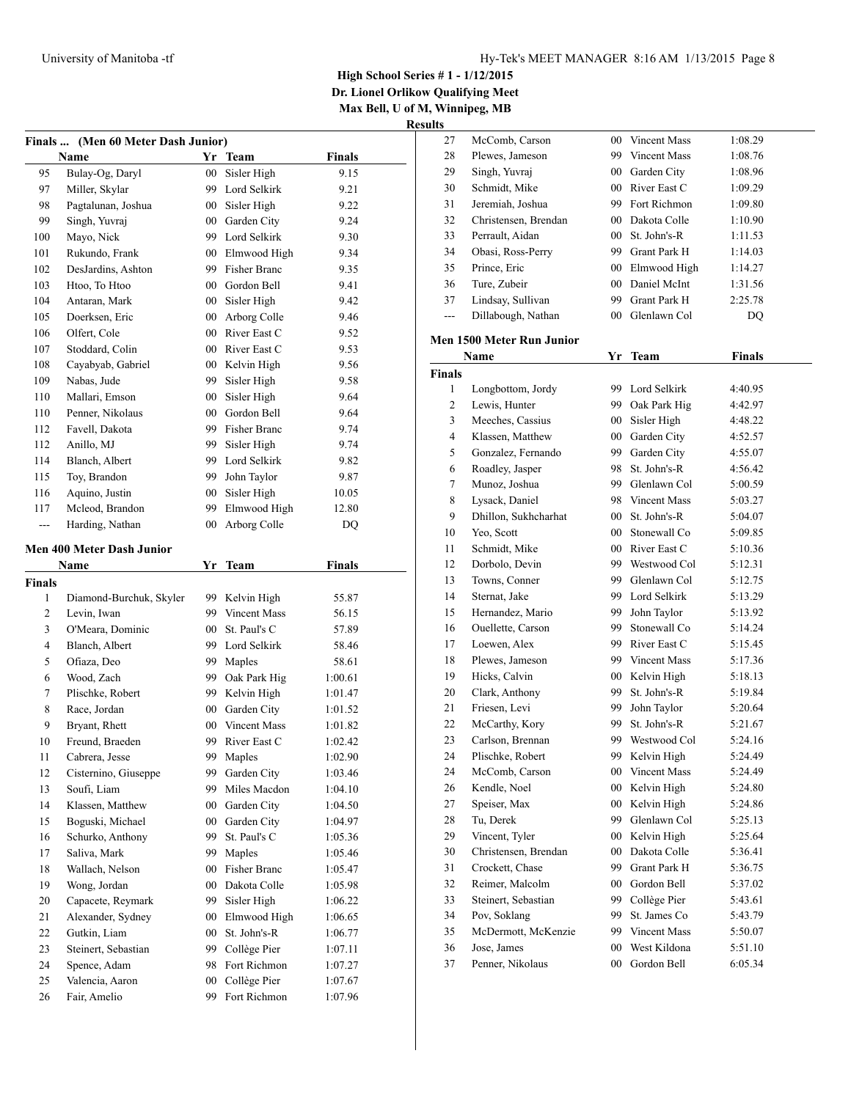**Dr. Lionel Orlikow Qualifying Meet Max Bell, U of M, Winnipeg, MB**

|               | Finals  (Men 60 Meter Dash Junior) |        |                     |               |  |
|---------------|------------------------------------|--------|---------------------|---------------|--|
|               | Name                               |        | Yr Team             | <b>Finals</b> |  |
| 95            | Bulay-Og, Daryl                    | $00\,$ | Sisler High         | 9.15          |  |
| 97            | Miller, Skylar                     |        | 99 Lord Selkirk     | 9.21          |  |
| 98            | Pagtalunan, Joshua                 |        | 00 Sisler High      | 9.22          |  |
| 99            | Singh, Yuvraj                      | $00\,$ | Garden City         | 9.24          |  |
| 100           | Mayo, Nick                         |        | 99 Lord Selkirk     | 9.30          |  |
| 101           | Rukundo, Frank                     |        | 00 Elmwood High     | 9.34          |  |
| 102           | DesJardins, Ashton                 | 99     | Fisher Branc        | 9.35          |  |
| 103           | Htoo, To Htoo                      | $00\,$ | Gordon Bell         | 9.41          |  |
| 104           | Antaran, Mark                      | $00-$  | Sisler High         | 9.42          |  |
| 105           | Doerksen, Eric                     | $00\,$ | Arborg Colle        | 9.46          |  |
| 106           | Olfert, Cole                       |        | 00 River East C     | 9.52          |  |
| 107           | Stoddard, Colin                    |        | 00 River East C     | 9.53          |  |
| 108           | Cayabyab, Gabriel                  |        | 00 Kelvin High      | 9.56          |  |
| 109           | Nabas, Jude                        | 99.    | Sisler High         | 9.58          |  |
| 110           | Mallari, Emson                     | $00\,$ | Sisler High         | 9.64          |  |
| 110           | Penner, Nikolaus                   | $00\,$ | Gordon Bell         | 9.64          |  |
| 112           | Favell, Dakota                     | 99     | <b>Fisher Branc</b> | 9.74          |  |
| 112           | Anillo, MJ                         | 99     | Sisler High         | 9.74          |  |
| 114           | Blanch, Albert                     | 99     | Lord Selkirk        | 9.82          |  |
| 115           | Toy, Brandon                       | 99     | John Taylor         | 9.87          |  |
| 116           | Aquino, Justin                     | $00\,$ | Sisler High         | 10.05         |  |
| 117           | Mcleod, Brandon                    | 99     | Elmwood High        | 12.80         |  |
| ---           | Harding, Nathan                    | $00\,$ | Arborg Colle        | DQ            |  |
|               |                                    |        |                     |               |  |
|               | <b>Men 400 Meter Dash Junior</b>   |        |                     |               |  |
|               | Name                               | Yr     | <b>Team</b>         | <b>Finals</b> |  |
| <b>Finals</b> |                                    |        |                     |               |  |
| 1             | Diamond-Burchuk, Skyler            | 99 -   | Kelvin High         | 55.87         |  |
| 2             | Levin, Iwan                        |        | 99 Vincent Mass     | 56.15         |  |
| 3             | O'Meara, Dominic                   | $00\,$ | St. Paul's C        | 57.89         |  |
| 4             | Blanch, Albert                     | 99     | Lord Selkirk        | 58.46         |  |
| 5             | Ofiaza, Deo                        | 99     | Maples              | 58.61         |  |
| 6             | Wood, Zach                         | 99.    | Oak Park Hig        | 1:00.61       |  |
| 7             | Plischke, Robert                   | 99.    | Kelvin High         | 1:01.47       |  |
| 8             | Race, Jordan                       | $00-$  | Garden City         | 1:01.52       |  |
| 9             | Bryant, Rhett                      |        | 00 Vincent Mass     | 1:01.82       |  |
| 10            | Freund, Braeden                    | 99     | River East C        | 1:02.42       |  |
| 11            | Cabrera, Jesse                     | 99     | Maples              | 1:02.90       |  |
| 12            | Cisternino, Giuseppe               | 99     | Garden City         | 1:03.46       |  |
| 13            | Soufi, Liam                        | 99     | Miles Macdon        | 1:04.10       |  |
| 14            | Klassen, Matthew                   | $00\,$ | Garden City         | 1:04.50       |  |
| 15            | Boguski, Michael                   | $00\,$ | Garden City         | 1:04.97       |  |
| 16            | Schurko, Anthony                   | 99     | St. Paul's C        | 1:05.36       |  |
| 17            | Saliva, Mark                       | 99     | Maples              | 1:05.46       |  |
| 18            | Wallach, Nelson                    | 00     | Fisher Branc        | 1:05.47       |  |
| 19            | Wong, Jordan                       | $00\,$ | Dakota Colle        | 1:05.98       |  |
| 20            | Capacete, Reymark                  | 99     | Sisler High         | 1:06.22       |  |
| 21            | Alexander, Sydney                  | 00     | Elmwood High        | 1:06.65       |  |
| 22            | Gutkin, Liam                       | $00\,$ | St. John's-R        | 1:06.77       |  |
| 23            | Steinert, Sebastian                | 99     | Collège Pier        | 1:07.11       |  |
| 24            | Spence, Adam                       | 98     | Fort Richmon        | 1:07.27       |  |
| 25            | Valencia, Aaron                    | $00\,$ | Collège Pier        | 1:07.67       |  |
| 26            | Fair, Amelio                       | 99     | Fort Richmon        | 1:07.96       |  |

| 27            | McComb, Carson                   | $00\,$          | <b>Vincent Mass</b> | 1:08.29       |
|---------------|----------------------------------|-----------------|---------------------|---------------|
| 28            | Plewes, Jameson                  | 99              | Vincent Mass        | 1:08.76       |
| 29            | Singh, Yuvraj                    | $00\,$          | Garden City         | 1:08.96       |
| 30            | Schmidt, Mike                    | $00\,$          | River East C        | 1:09.29       |
| 31            | Jeremiah, Joshua                 | 99              | Fort Richmon        | 1:09.80       |
| 32            | Christensen, Brendan             | $00\,$          | Dakota Colle        | 1:10.90       |
| 33            | Perrault, Aidan                  | $00\,$          | St. John's-R        | 1:11.53       |
| 34            | Obasi, Ross-Perry                | 99              | Grant Park H        | 1:14.03       |
| 35            | Prince, Eric                     | $00\,$          | Elmwood High        | 1:14.27       |
| 36            | Ture, Zubeir                     | $00\,$          | Daniel McInt        | 1:31.56       |
| 37            | Lindsay, Sullivan                | 99              | Grant Park H        | 2:25.78       |
| ---           | Dillabough, Nathan               | $00\,$          | Glenlawn Col        | DQ            |
|               | <b>Men 1500 Meter Run Junior</b> |                 |                     |               |
|               |                                  |                 |                     |               |
|               | Name                             |                 | Yr Team             | <b>Finals</b> |
| <b>Finals</b> |                                  | 99              |                     |               |
| 1             | Longbottom, Jordy                |                 | Lord Selkirk        | 4:40.95       |
| 2             | Lewis, Hunter                    | 99              | Oak Park Hig        | 4:42.97       |
| 3             | Meeches, Cassius                 | $00\,$          | Sisler High         | 4:48.22       |
| 4             | Klassen, Matthew                 | $00\,$          | Garden City         | 4:52.57       |
| 5             | Gonzalez, Fernando               | 99              | Garden City         | 4:55.07       |
| 6             | Roadley, Jasper                  | 98              | St. John's-R        | 4:56.42       |
| 7             | Munoz, Joshua                    | 99              | Glenlawn Col        | 5:00.59       |
| 8             | Lysack, Daniel                   | 98              | Vincent Mass        | 5:03.27       |
| 9             | Dhillon, Sukhcharhat             | $00\,$          | St. John's-R        | 5:04.07       |
| 10            | Yeo, Scott                       | 00 <sup>°</sup> | Stonewall Co        | 5:09.85       |
| 11            | Schmidt, Mike                    | $00\,$          | River East C        | 5:10.36       |
| 12            | Dorbolo, Devin                   | 99              | Westwood Col        | 5:12.31       |
| 13            | Towns, Conner                    | 99              | Glenlawn Col        | 5:12.75       |
| 14            | Sternat, Jake                    | 99              | Lord Selkirk        | 5:13.29       |
| 15            | Hernandez, Mario                 | 99              | John Taylor         | 5:13.92       |
| 16            | Ouellette, Carson                | 99              | Stonewall Co        | 5:14.24       |
| 17            | Loewen, Alex                     | 99              | River East C        | 5:15.45       |
| 18            | Plewes, Jameson                  | 99              | Vincent Mass        | 5:17.36       |
| 19            | Hicks, Calvin                    | $00\,$          | Kelvin High         | 5:18.13       |
| 20            | Clark, Anthony                   | 99              | St. John's-R        | 5:19.84       |
| 21            | Friesen, Levi                    | 99              | John Taylor         | 5:20.64       |
| 22            | McCarthy, Kory                   | 99              | St. John's-R        | 5:21.67       |
| 23            | Carlson, Brennan                 | 99              | Westwood Col        | 5:24.16       |
| 24            | Plischke, Robert                 |                 | 99 Kelvin High      | 5:24.49       |
| 24            | McComb, Carson                   | $00\,$          | Vincent Mass        | 5:24.49       |
| 26            | Kendle, Noel                     | $00\,$          | Kelvin High         | 5:24.80       |
| 27            | Speiser, Max                     | $00\,$          | Kelvin High         | 5:24.86       |
| 28            | Tu, Derek                        | 99              | Glenlawn Col        | 5:25.13       |
| 29            | Vincent, Tyler                   | $00\,$          | Kelvin High         | 5:25.64       |
| 30            | Christensen, Brendan             | $00\,$          | Dakota Colle        | 5:36.41       |
| 31            | Crockett, Chase                  | 99              | Grant Park H        | 5:36.75       |
| 32            | Reimer, Malcolm                  | $00\,$          | Gordon Bell         | 5:37.02       |
| 33            | Steinert, Sebastian              | 99              | Collège Pier        | 5:43.61       |
| 34            | Pov, Soklang                     | 99              | St. James Co        | 5:43.79       |
| 35            | McDermott, McKenzie              | 99              | Vincent Mass        | 5:50.07       |
| 36            | Jose, James                      | $00\,$          | West Kildona        | 5:51.10       |
| 37            | Penner, Nikolaus                 | $00\,$          | Gordon Bell         | 6:05.34       |